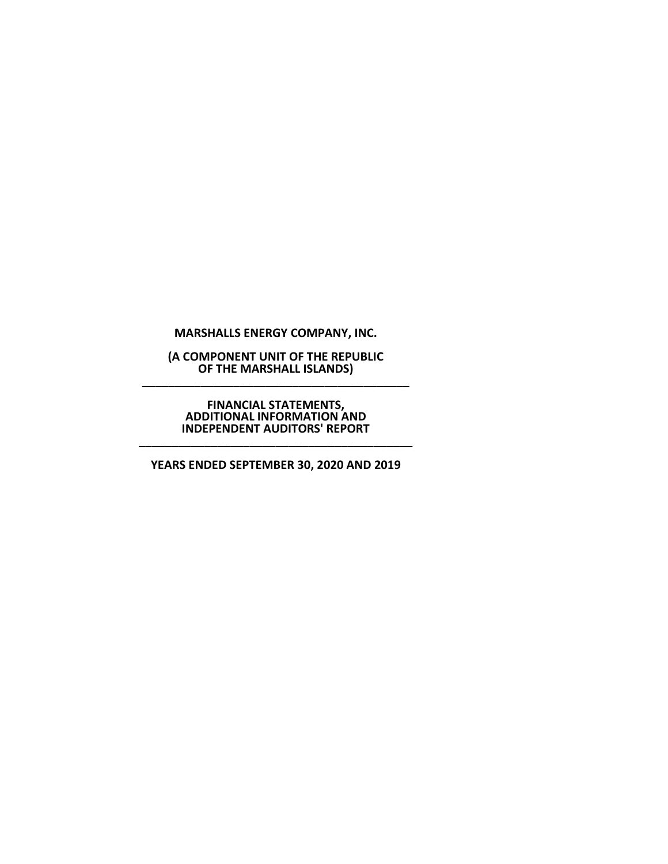**MARSHALLS ENERGY COMPANY, INC.**

**(A COMPONENT UNIT OF THE REPUBLIC OF THE MARSHALL ISLANDS)** 

# **FINANCIAL STATEMENTS, ADDITIONAL INFORMATION AND INDEPENDENT AUDITORS' REPORT**

**YEARS ENDED SEPTEMBER 30, 2020 AND 2019**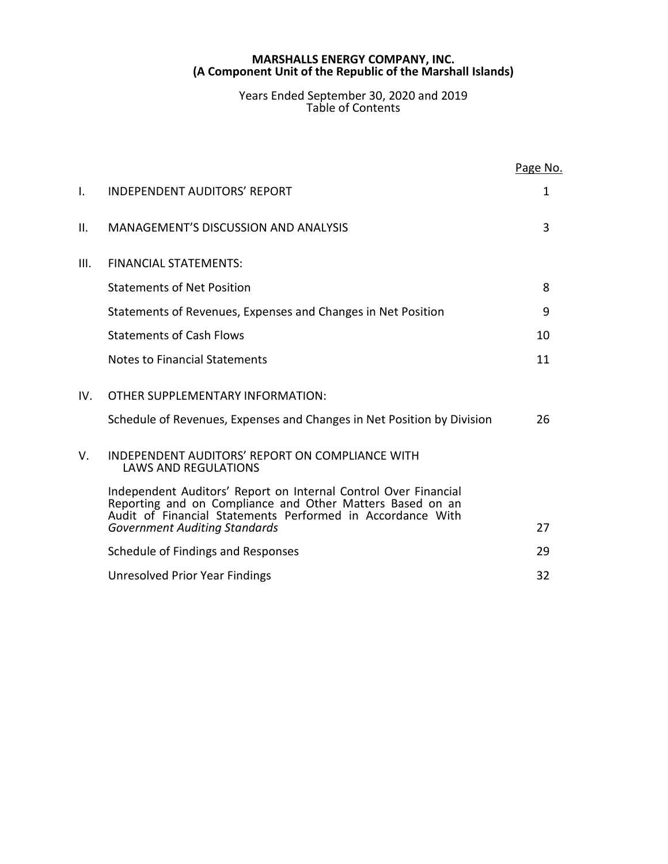# Years Ended September 30, 2020 and 2019 Table of Contents

|      |                                                                                                                                                                                                                                    | Page No. |
|------|------------------------------------------------------------------------------------------------------------------------------------------------------------------------------------------------------------------------------------|----------|
| I.   | <b>INDEPENDENT AUDITORS' REPORT</b>                                                                                                                                                                                                | 1        |
| ΙΙ.  | <b>MANAGEMENT'S DISCUSSION AND ANALYSIS</b>                                                                                                                                                                                        | 3        |
| III. | <b>FINANCIAL STATEMENTS:</b>                                                                                                                                                                                                       |          |
|      | <b>Statements of Net Position</b>                                                                                                                                                                                                  | 8        |
|      | Statements of Revenues, Expenses and Changes in Net Position                                                                                                                                                                       | 9        |
|      | <b>Statements of Cash Flows</b>                                                                                                                                                                                                    | 10       |
|      | Notes to Financial Statements                                                                                                                                                                                                      | 11       |
| IV.  | OTHER SUPPLEMENTARY INFORMATION:                                                                                                                                                                                                   |          |
|      | Schedule of Revenues, Expenses and Changes in Net Position by Division                                                                                                                                                             | 26       |
| V.   | INDEPENDENT AUDITORS' REPORT ON COMPLIANCE WITH<br><b>LAWS AND REGULATIONS</b>                                                                                                                                                     |          |
|      | Independent Auditors' Report on Internal Control Over Financial<br>Reporting and on Compliance and Other Matters Based on an<br>Audit of Financial Statements Performed in Accordance With<br><b>Government Auditing Standards</b> | 27       |
|      | Schedule of Findings and Responses                                                                                                                                                                                                 | 29       |
|      | Unresolved Prior Year Findings                                                                                                                                                                                                     | 32       |
|      |                                                                                                                                                                                                                                    |          |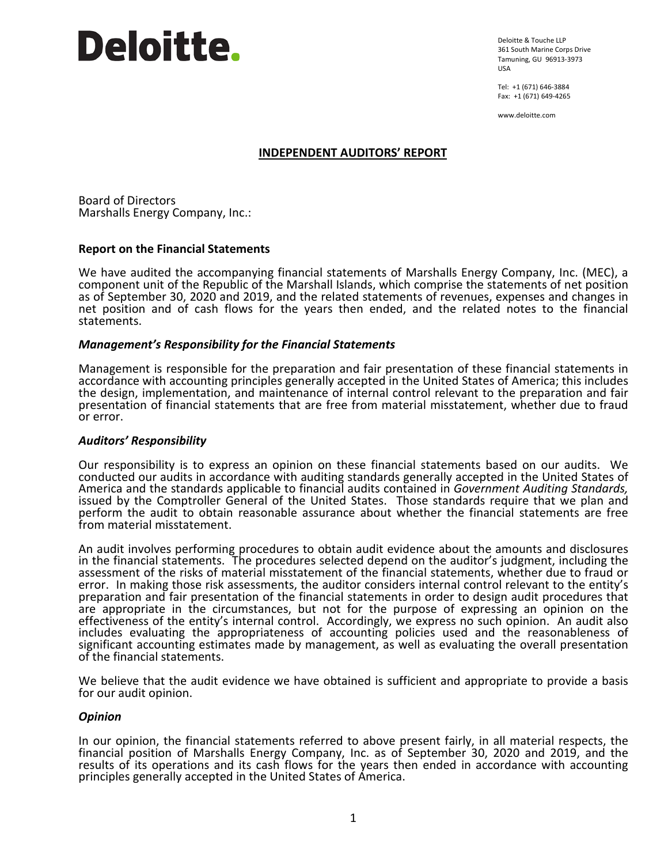# **Deloitte.**

Deloitte & Touche LLP 361 South Marine Corps Drive Tamuning, GU 96913-3973 USA

Tel: +1 (671) 646-3884 Fax: +1 (671) 649-4265

www.deloitte.com

# **INDEPENDENT AUDITORS' REPORT**

Board of Directors Marshalls Energy Company, Inc.:

# **Report on the Financial Statements**

We have audited the accompanying financial statements of Marshalls Energy Company, Inc. (MEC), a component unit of the Republic of the Marshall Islands, which comprise the statements of net position as of September 30, 2020 and 2019, and the related statements of revenues, expenses and changes in net position and of cash flows for the years then ended, and the related notes to the financial statements.

# *Management's Responsibility for the Financial Statements*

Management is responsible for the preparation and fair presentation of these financial statements in accordance with accounting principles generally accepted in the United States of America; this includes the design, implementation, and maintenance of internal control relevant to the preparation and fair presentation of financial statements that are free from material misstatement, whether due to fraud or error.

# *Auditors' Responsibility*

Our responsibility is to express an opinion on these financial statements based on our audits. We conducted our audits in accordance with auditing standards generally accepted in the United States of America and the standards applicable to financial audits contained in *Government Auditing Standards,* issued by the Comptroller General of the United States. Those standards require that we plan and perform the audit to obtain reasonable assurance about whether the financial statements are free from material misstatement.

An audit involves performing procedures to obtain audit evidence about the amounts and disclosures in the financial statements. The procedures selected depend on the auditor's judgment, including the assessment of the risks of material misstatement of the financial statements, whether due to fraud or error. In making those risk assessments, the auditor considers internal control relevant to the entity's preparation and fair presentation of the financial statements in order to design audit procedures that are appropriate in the circumstances, but not for the purpose of expressing an opinion on the effectiveness of the entity's internal control. Accordingly, we express no such opinion. An audit also includes evaluating the appropriateness of accounting policies used and the reasonableness of significant accounting estimates made by management, as well as evaluating the overall presentation of the financial statements.

We believe that the audit evidence we have obtained is sufficient and appropriate to provide a basis for our audit opinion.

# *Opinion*

In our opinion, the financial statements referred to above present fairly, in all material respects, the financial position of Marshalls Energy Company, Inc. as of September 30, 2020 and 2019, and the results of its operations and its cash flows for the years then ended in accordance with accounting principles generally accepted in the United States of America.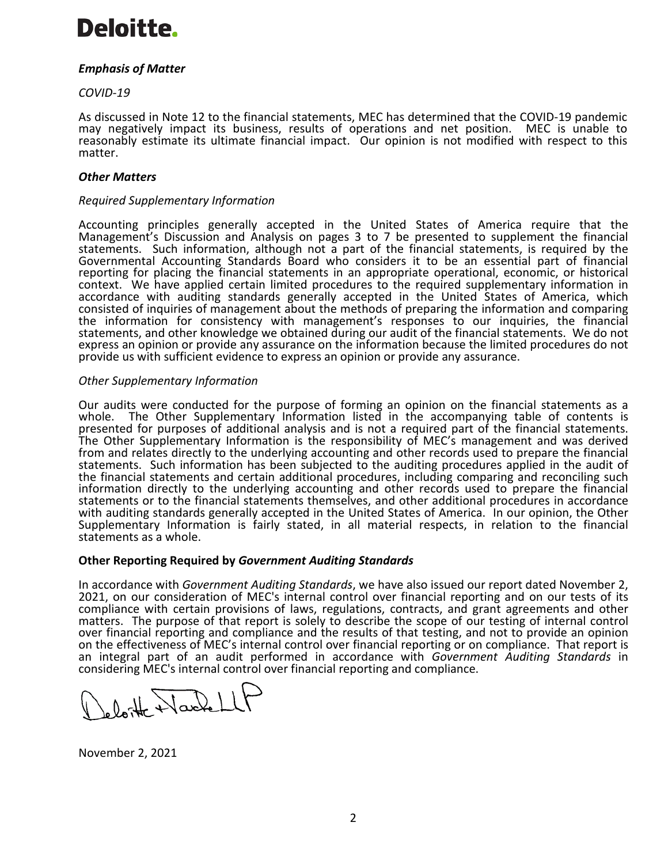# **Deloitte.**

# *Emphasis of Matter*

*COVID-19* 

As discussed in Note 12 to the financial statements, MEC has determined that the COVID-19 pandemic may negatively impact its business, results of operations and net position. MEC is unable to reasonably estimate its ultimate financial impact. Our opinion is not modified with respect to this matter.

# *Other Matters*

# *Required Supplementary Information*

Accounting principles generally accepted in the United States of America require that the Management's Discussion and Analysis on pages 3 to 7 be presented to supplement the financial statements. Such information, although not a part of the financial statements, is required by the Governmental Accounting Standards Board who considers it to be an essential part of financial reporting for placing the financial statements in an appropriate operational, economic, or historical context. We have applied certain limited procedures to the required supplementary information in accordance with auditing standards generally accepted in the United States of America, which consisted of inquiries of management about the methods of preparing the information and comparing the information for consistency with management's responses to our inquiries, the financial statements, and other knowledge we obtained during our audit of the financial statements. We do not express an opinion or provide any assurance on the information because the limited procedures do not provide us with sufficient evidence to express an opinion or provide any assurance.

# *Other Supplementary Information*

Our audits were conducted for the purpose of forming an opinion on the financial statements as a whole. The Other Supplementary Information listed in the accompanying table of contents is The Other Supplementary Information listed in the accompanying table of contents is presented for purposes of additional analysis and is not a required part of the financial statements. The Other Supplementary Information is the responsibility of MEC's management and was derived from and relates directly to the underlying accounting and other records used to prepare the financial statements. Such information has been subjected to the auditing procedures applied in the audit of the financial statements and certain additional procedures, including comparing and reconciling such information directly to the underlying accounting and other records used to prepare the financial statements or to the financial statements themselves, and other additional procedures in accordance with auditing standards generally accepted in the United States of America. In our opinion, the Other Supplementary Information is fairly stated, in all material respects, in relation to the financial statements as a whole.

# **Other Reporting Required by** *Government Auditing Standards*

In accordance with *Government Auditing Standards*, we have also issued our report dated November 2, 2021, on our consideration of MEC's internal control over financial reporting and on our tests of its compliance with certain provisions of laws, regulations, contracts, and grant agreements and other matters. The purpose of that report is solely to describe the scope of our testing of internal control over financial reporting and compliance and the results of that testing, and not to provide an opinion on the effectiveness of MEC's internal control over financial reporting or on compliance. That report is an integral part of an audit performed in accordance with *Government Auditing Standards* in considering MEC's internal control over financial reporting and compliance.

eloite Nachell

November 2, 2021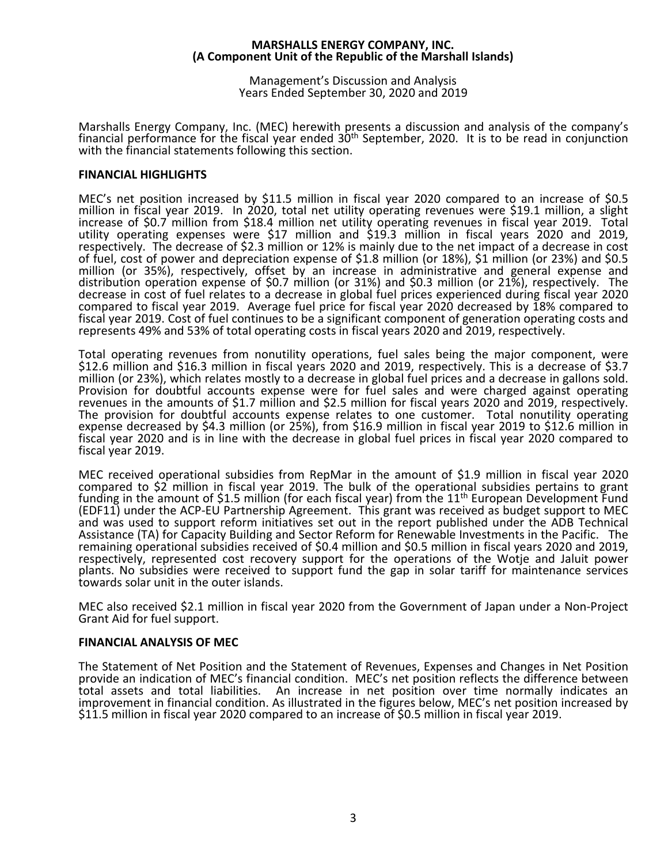Management's Discussion and Analysis Years Ended September 30, 2020 and 2019

Marshalls Energy Company, Inc. (MEC) herewith presents a discussion and analysis of the company's financial performance for the fiscal year ended 30th September, 2020. It is to be read in conjunction with the financial statements following this section.

# **FINANCIAL HIGHLIGHTS**

MEC's net position increased by \$11.5 million in fiscal year 2020 compared to an increase of \$0.5 million in fiscal year 2019. In 2020, total net utility operating revenues were \$19.1 million, a slight increase of \$0.7 million from \$18.4 million net utility operating revenues in fiscal year 2019. Total utility operating expenses were \$17 million and \$19.3 million in fiscal years 2020 and 2019, respectively. The decrease of \$2.3 million or 12% is mainly due to the net impact of a decrease in cost of fuel, cost of power and depreciation expense of \$1.8 million (or 18%), \$1 million (or 23%) and \$0.5 million (or 35%), respectively, offset by an increase in administrative and general expense and distribution operation expense of \$0.7 million (or 31%) and \$0.3 million (or 21%), respectively. The decrease in cost of fuel relates to a decrease in global fuel prices experienced during fiscal year 2020 compared to fiscal year 2019. Average fuel price for fiscal year 2020 decreased by 18% compared to fiscal year 2019. Cost of fuel continues to be a significant component of generation operating costs and represents 49% and 53% of total operating costs in fiscal years 2020 and 2019, respectively.

Total operating revenues from nonutility operations, fuel sales being the major component, were \$12.6 million and \$16.3 million in fiscal years 2020 and 2019, respectively. This is a decrease of \$3.7 million (or 23%), which relates mostly to a decrease in global fuel prices and a decrease in gallons sold. Provision for doubtful accounts expense were for fuel sales and were charged against operating revenues in the amounts of \$1.7 million and \$2.5 million for fiscal years 2020 and 2019, respectively. The provision for doubtful accounts expense relates to one customer. Total nonutility operating expense decreased by \$4.3 million (or 25%), from \$16.9 million in fiscal year 2019 to \$12.6 million in fiscal year 2020 and is in line with the decrease in global fuel prices in fiscal year 2020 compared to fiscal year 2019.

MEC received operational subsidies from RepMar in the amount of \$1.9 million in fiscal year 2020 compared to \$2 million in fiscal year 2019. The bulk of the operational subsidies pertains to grant funding in the amount of \$1.5 million (for each fiscal year) from the  $11<sup>th</sup>$  European Development Fund (EDF11) under the ACP-EU Partnership Agreement. This grant was received as budget support to MEC and was used to support reform initiatives set out in the report published under the ADB Technical Assistance (TA) for Capacity Building and Sector Reform for Renewable Investments in the Pacific. The remaining operational subsidies received of \$0.4 million and \$0.5 million in fiscal years 2020 and 2019, respectively, represented cost recovery support for the operations of the Wotje and Jaluit power plants. No subsidies were received to support fund the gap in solar tariff for maintenance services towards solar unit in the outer islands.

MEC also received \$2.1 million in fiscal year 2020 from the Government of Japan under a Non-Project Grant Aid for fuel support.

#### **FINANCIAL ANALYSIS OF MEC**

The Statement of Net Position and the Statement of Revenues, Expenses and Changes in Net Position provide an indication of MEC's financial condition. MEC's net position reflects the difference between total assets and total liabilities. An increase in net position over time normally indicates an improvement in financial condition. As illustrated in the figures below, MEC's net position increased by<br>\$11.5 million in fiscal year 2020 compared to an increase of \$0.5 million in fiscal year 2019.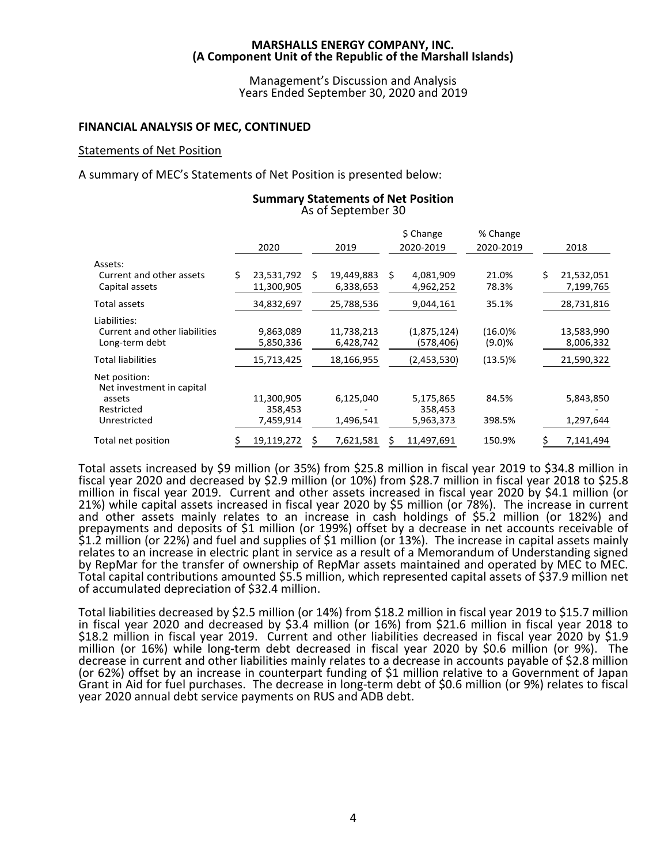Management's Discussion and Analysis Years Ended September 30, 2020 and 2019

#### **FINANCIAL ANALYSIS OF MEC, CONTINUED**

#### Statements of Net Position

A summary of MEC's Statements of Net Position is presented below:

#### **Summary Statements of Net Position** As of September 30

|                                                                                                    |    | 2020                                 |    | 2019                                  |    | \$ Change<br>2020-2019                  | % Change<br>2020-2019              | 2018                                  |
|----------------------------------------------------------------------------------------------------|----|--------------------------------------|----|---------------------------------------|----|-----------------------------------------|------------------------------------|---------------------------------------|
| Assets:<br>Current and other assets<br>Capital assets                                              | Ś. | 23,531,792<br>11,300,905             | Ŝ. | 19,449,883<br>6,338,653               | Ŝ. | 4,081,909<br>4,962,252                  | 21.0%<br>78.3%                     | \$<br>21,532,051<br>7,199,765         |
| Total assets                                                                                       |    | 34,832,697                           |    | 25,788,536                            |    | 9,044,161                               | 35.1%                              | 28,731,816                            |
| Liabilities:<br><b>Current and other liabilities</b><br>Long-term debt<br><b>Total liabilities</b> |    | 9,863,089<br>5,850,336<br>15,713,425 |    | 11,738,213<br>6,428,742<br>18,166,955 |    | (1,875,124)<br>(578,406)<br>(2,453,530) | $(16.0)\%$<br>(9.0)%<br>$(13.5)\%$ | 13,583,990<br>8,006,332<br>21,590,322 |
| Net position:<br>Net investment in capital<br>assets<br>Restricted                                 |    | 11,300,905<br>358,453                |    | 6,125,040                             |    | 5,175,865<br>358,453                    | 84.5%                              | 5,843,850                             |
| Unrestricted                                                                                       |    | 7,459,914                            |    | 1,496,541                             |    | 5,963,373                               | 398.5%                             | 1,297,644                             |
| Total net position                                                                                 |    | 19,119,272                           |    | 7,621,581                             | s  | 11,497,691                              | 150.9%                             | 7,141,494                             |

Total assets increased by \$9 million (or 35%) from \$25.8 million in fiscal year 2019 to \$34.8 million in fiscal year 2020 and decreased by \$2.9 million (or 10%) from \$28.7 million in fiscal year 2018 to \$25.8 million in fiscal year 2019. Current and other assets increased in fiscal year 2020 by \$4.1 million (or 21%) while capital assets increased in fiscal year 2020 by \$5 million (or 78%). The increase in current and other assets mainly relates to an increase in cash holdings of \$5.2 million (or 182%) and prepayments and deposits of \$1 million (or 199%) offset by a decrease in net accounts receivable of \$1.2 million (or 22%) and fuel and supplies of \$1 million (or 13%). The increase in capital assets mainly relates to an increase in electric plant in service as a result of a Memorandum of Understanding signed<br>by RepMar for the transfer of ownership of RepMar assets maintained and operated by MEC to MEC. Total capital contributions amounted \$5.5 million, which represented capital assets of \$37.9 million net of accumulated depreciation of \$32.4 million.

Total liabilities decreased by \$2.5 million (or 14%) from \$18.2 million in fiscal year 2019 to \$15.7 million in fiscal year 2020 and decreased by \$3.4 million (or 16%) from \$21.6 million in fiscal year 2018 to \$18.2 million in fiscal year 2019. Current and other liabilities decreased in fiscal year 2020 by \$1.9 million (or 16%) while long-term debt decreased in fiscal year 2020 by \$0.6 million (or 9%). The decrease in current and other liabilities mainly relates to a decrease in accounts payable of \$2.8 million (or 62%) offset by an increase in counterpart funding of \$1 million relative to a Government of Japan Grant in Aid for fuel purchases. The decrease in long-term debt of \$0.6 million (or 9%) relates to fiscal year 2020 annual debt service payments on RUS and ADB debt.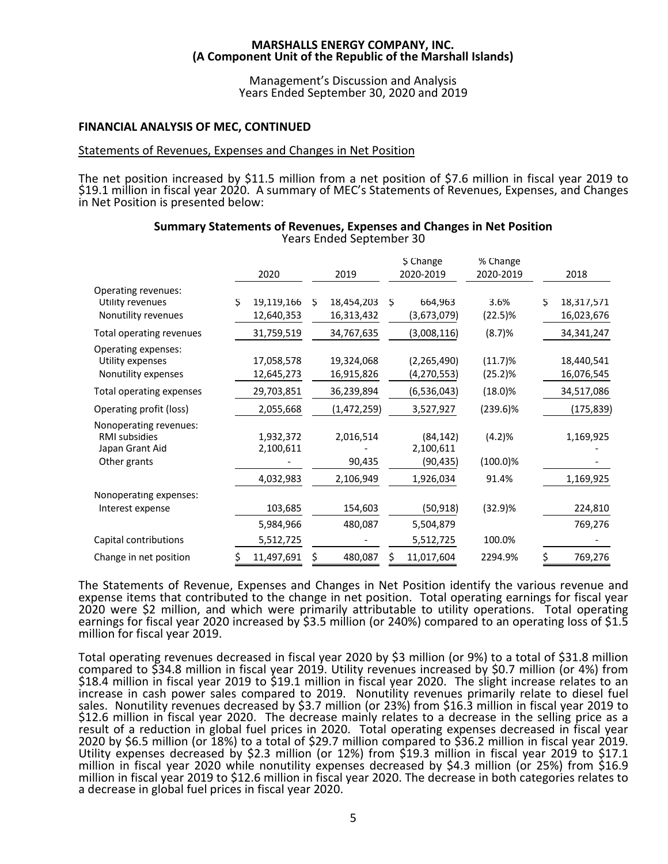Management's Discussion and Analysis Years Ended September 30, 2020 and 2019

#### **FINANCIAL ANALYSIS OF MEC, CONTINUED**

#### Statements of Revenues, Expenses and Changes in Net Position

The net position increased by \$11.5 million from a net position of \$7.6 million in fiscal year 2019 to \$19.1 million in fiscal year 2020. A summary of MEC's Statements of Revenues, Expenses, and Changes in Net Position is presented below:

|                                                                            |    | 2020                                |    | 2019                             |   | \$ Change<br>2020-2019                           | % Change<br>2020-2019          |    | 2018                     |
|----------------------------------------------------------------------------|----|-------------------------------------|----|----------------------------------|---|--------------------------------------------------|--------------------------------|----|--------------------------|
| Operating revenues:<br>Utility revenues<br>Nonutility revenues             | S  | 19,119,166<br>12,640,353            | S  | 18,454,203<br>16,313,432         | S | 664,963<br>(3,673,079)                           | 3.6%<br>$(22.5)\%$             | S  | 18,317,571<br>16,023,676 |
| Total operating revenues                                                   |    | 31,759,519                          |    | 34,767,635                       |   | (3,008,116)                                      | (8.7)%                         |    | 34,341,247               |
| Operating expenses:<br>Utility expenses<br>Nonutility expenses             |    | 17,058,578<br>12,645,273            |    | 19,324,068<br>16,915,826         |   | (2,265,490)<br>(4, 270, 553)                     | $(11.7)\%$<br>(25.2)%          |    | 18,440,541<br>16,076,545 |
| Total operating expenses                                                   |    | 29,703,851                          |    | 36,239,894                       |   | (6, 536, 043)                                    | $(18.0)\%$                     |    | 34,517,086               |
| Operating profit (loss)                                                    |    | 2,055,668                           |    | (1,472,259)                      |   | 3,527,927                                        | $(239.6)\%$                    |    | (175, 839)               |
| Nonoperating revenues:<br>RMI subsidies<br>Japan Grant Aid<br>Other grants |    | 1,932,372<br>2,100,611<br>4,032,983 |    | 2,016,514<br>90,435<br>2,106,949 |   | (84, 142)<br>2,100,611<br>(90, 435)<br>1,926,034 | (4.2)%<br>$(100.0)\%$<br>91.4% |    | 1,169,925<br>1,169,925   |
| Nonoperating expenses:                                                     |    |                                     |    |                                  |   |                                                  |                                |    |                          |
| Interest expense                                                           |    | 103,685                             |    | 154,603                          |   | (50, 918)                                        | (32.9)%                        |    | 224,810                  |
|                                                                            |    | 5,984,966                           |    | 480,087                          |   | 5,504,879                                        |                                |    | 769,276                  |
| Capital contributions                                                      |    | 5,512,725                           |    |                                  |   | 5,512,725                                        | 100.0%                         |    |                          |
| Change in net position                                                     | \$ | 11,497,691                          | \$ | 480,087                          | S | 11,017,604                                       | 2294.9%                        | \$ | 769,276                  |

#### **Summary Statements of Revenues, Expenses and Changes in Net Position** Years Ended September 30

The Statements of Revenue, Expenses and Changes in Net Position identify the various revenue and expense items that contributed to the change in net position. Total operating earnings for fiscal year 2020 were \$2 million, and which were primarily attributable to utility operations. Total operating earnings for fiscal year 2020 increased by \$3.5 million (or 240%) compared to an operating loss of \$1.5 million for fiscal year 2019.

Total operating revenues decreased in fiscal year 2020 by \$3 million (or 9%) to a total of \$31.8 million compared to \$34.8 million in fiscal year 2019. Utility revenues increased by \$0.7 million (or 4%) from \$18.4 million increase in cash power sales compared to 2019. Nonutility revenues primarily relate to diesel fuel sales. Nonutility revenues decreased by \$3.7 million (or 23%) from \$16.3 million in fiscal year 2019 to<br>\$12.6 million in fiscal year 2020. The decrease mainly relates to a decrease in the selling price as a result of a reduction in global fuel prices in 2020. Total operating expenses decreased in fiscal year 2020 by \$6.5 million (or 18%) to a total of \$29.7 million compared to \$36.2 million in fiscal year 2019.<br>Utility expenses decreased by \$2.3 million (or 12%) from \$19.3 million in fiscal year 2019 to \$17.1 million in fiscal year 2020 while nonutility expenses decreased by \$4.3 million (or 25%) from \$16.9 million in fiscal year 2019 to \$12.6 million in fiscal year 2020. The decrease in both categories relates to a decrease in global fuel prices in fiscal year 2020.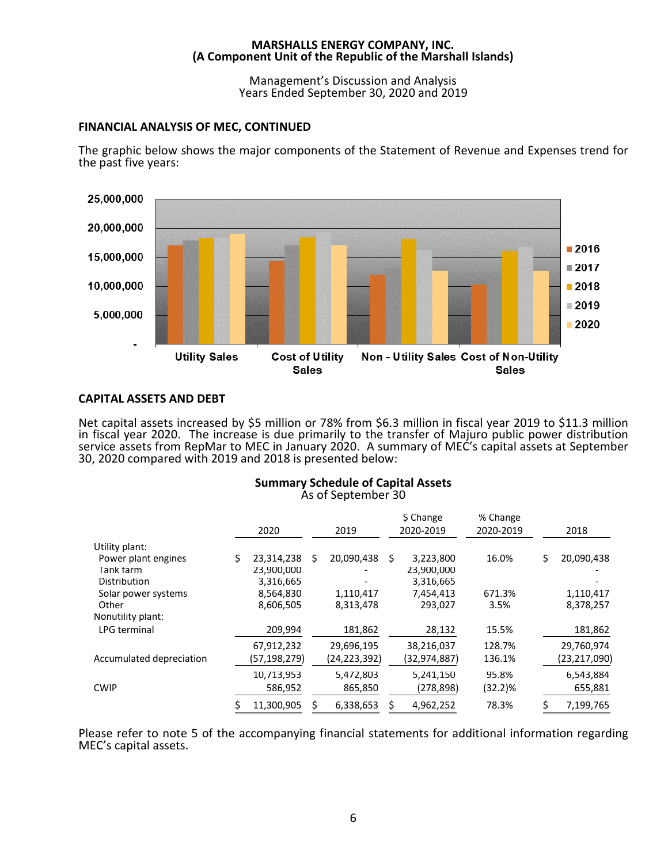Management's Discussion and Analysis Years Ended September 30, 2020 and 2019

# **FINANCIAL ANALYSIS OF MEC, CONTINUED**

The graphic below shows the major components of the Statement of Revenue and Expenses trend for the past five years:



# **CAPITAL ASSETS AND DEBT**

Net capital assets increased by \$5 million or 78% from \$6.3 million in fiscal year 2019 to \$11.3 million in fiscal year 2020. The increase is due primarily to the transfer of Majuro public power distribution service assets from RepMar to MEC in January 2020. A summary of MEC's capital assets at September 30, 2020 compared with 2019 and 2018 is presented below:

|                                                   | <b>Summary Schedule of Capital Assets</b><br>As of September 30 |                                       |   |                            |   |                                      |                       |   |                              |
|---------------------------------------------------|-----------------------------------------------------------------|---------------------------------------|---|----------------------------|---|--------------------------------------|-----------------------|---|------------------------------|
|                                                   |                                                                 | 2020                                  |   | 2019                       |   | \$ Change<br>2020-2019               | % Change<br>2020-2019 |   | 2018                         |
| Utility plant:                                    |                                                                 |                                       |   |                            |   |                                      |                       |   |                              |
| Power plant engines<br>Tank farm<br>Distribution  | S                                                               | 23,314,238<br>23,900,000<br>3,316,665 | S | 20,090,438                 | S | 3,223,800<br>23,900,000<br>3,316,665 | 16.0%                 | S | 20,090,438                   |
| Solar power systems<br>Other<br>Nonutility plant: |                                                                 | 8,564,830<br>8,606,505                |   | 1,110,417<br>8,313,478     |   | 7,454,413<br>293,027                 | 671.3%<br>3.5%        |   | 1,110,417<br>8,378,257       |
| LPG terminal                                      |                                                                 | 209,994                               |   | 181,862                    |   | 28,132                               | 15.5%                 |   | 181,862                      |
| Accumulated depreciation                          |                                                                 | 67,912,232<br>(57,198,279)            |   | 29,696,195<br>(24,223,392) |   | 38,216,037<br>(32,974,887)           | 128.7%<br>136.1%      |   | 29,760,974<br>(23, 217, 090) |
| <b>CWIP</b>                                       |                                                                 | 10,713,953<br>586,952                 |   | 5,472,803<br>865,850       |   | 5,241,150<br>(278, 898)              | 95.8%<br>$(32.2)\%$   |   | 6,543,884<br>655,881         |
|                                                   |                                                                 | 11,300,905                            | S | 6,338,653                  | S | 4,962,252                            | 78.3%                 |   | 7,199,765                    |

Please refer to note 5 of the accompanying financial statements for additional information regarding MEC's capital assets.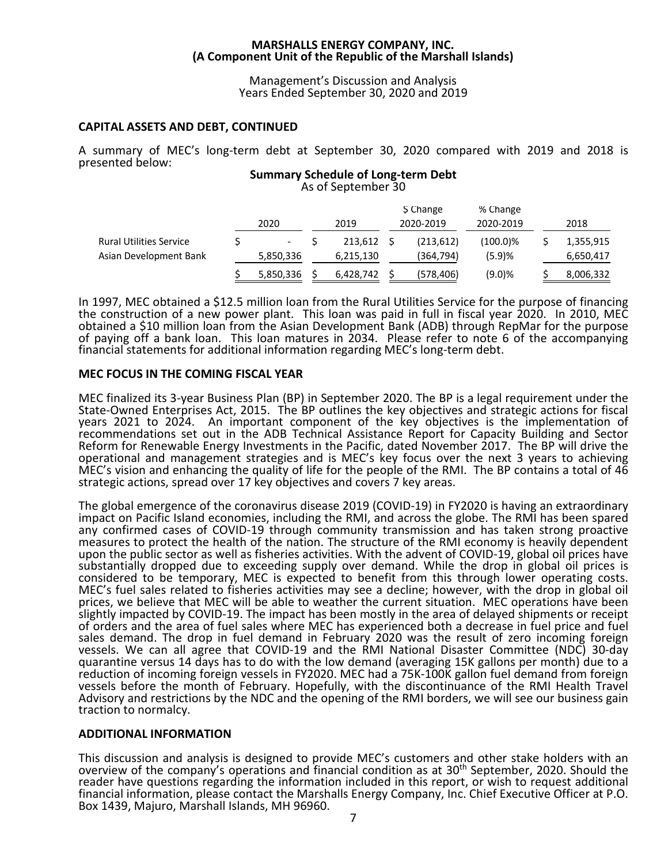#### Management's Discussion and Analysis Years Ended September 30, 2020 and 2019

# **CAPITAL ASSETS AND DEBT, CONTINUED**

A summary of MEC's long-term debt at September 30, 2020 compared with 2019 and 2018 is presented below:

#### **Summary Schedule of Long-term Debt** As of September 30

|                                |           |           | \$ Change  | % Change    |           |
|--------------------------------|-----------|-----------|------------|-------------|-----------|
|                                | 2020      | 2019      | 2020-2019  | 2020-2019   | 2018      |
| <b>Rural Utilities Service</b> |           | 213.612   | (213.612)  | $(100.0)\%$ | 1,355,915 |
| Asian Development Bank         | 5,850,336 | 6,215,130 | (364,794)  | (5.9)%      | 6,650,417 |
|                                | 5,850,336 | 6,428,742 | (578, 406) | (9.0)%      | 8,006,332 |

In 1997, MEC obtained a \$12.5 million loan from the Rural Utilities Service for the purpose of financing the construction of a new power plant. This loan was paid in full in fiscal year 2020. In 2010, MEC obtained a \$10 million loan from the Asian Development Bank (ADB) through RepMar for the purpose of paying off a bank loan. This loan matures in 2034. Please refer to note 6 of the accompanying financial statements for additional information regarding MEC's long-term debt.

# **MEC FOCUS IN THE COMING FISCAL YEAR**

MEC finalized its 3-year Business Plan (BP) in September 2020. The BP is a legal requirement under the State-Owned Enterprises Act, 2015. The BP outlines the key objectives and strategic actions for fiscal years 2021 to 2024. An important component of the key objectives is the implementation of recommendations set out in the ADB Technical Assistance Report for Capacity Building and Sector Reform for Renewable Energy Investments in the Pacific, dated November 2017. The BP will drive the operational and management strategies and is MEC's key focus over the next 3 years to achieving MEC's vision and enhancing the quality of life for the people of the RMI. The BP contains a total of 46 strategic actions, spread over 17 key objectives and covers 7 key areas.

The global emergence of the coronavirus disease 2019 (COVID-19) in FY2020 is having an extraordinary impact on Pacific Island economies, including the RMI, and across the globe. The RMI has been spared any confirmed cases of COVID-19 through community transmission and has taken strong proactive measures to protect the health of the nation. The structure of the RMI economy is heavily dependent upon the public sector as well as fisheries activities. With the advent of COVID-19, global oil prices have substantially dropped due to exceeding supply over demand. While the drop in global oil prices is considered to be temporary, MEC is expected to benefit from this through lower operating costs. MEC's fuel sales related to fisheries activities may see a decline; however, with the drop in global oil prices, we believe that MEC will be able to weather the current situation. MEC operations have been slightly impacted by COVID-19. The impact has been mostly in the area of delayed shipments or receipt of orders and the area of fuel sales where MEC has experienced both a decrease in fuel price and fuel sales demand. The drop in fuel demand in February 2020 was the result of zero incoming foreign vessels. We can all agree that COVID-19 and the RMI National Disaster Committee (NDC) 30-day quarantine versus 14 days has to do with the low demand (averaging 15K gallons per month) due to a reduction of incoming foreign vessels in FY2020. MEC had a 75K-100K gallon fuel demand from foreign vessels before the month of February. Hopefully, with the discontinuance of the RMI Health Travel Advisory and restrictions by the NDC and the opening of the RMI borders, we will see our business gain traction to normalcy.

# **ADDITIONAL INFORMATION**

This discussion and analysis is designed to provide MEC's customers and other stake holders with an overview of the company's operations and financial condition as at 30<sup>th</sup> September, 2020. Should the reader have questions regarding the information included in this report, or wish to request additional financial information, please contact the Marshalls Energy Company, Inc. Chief Executive Officer at P.O. Box 1439, Majuro, Marshall Islands, MH 96960.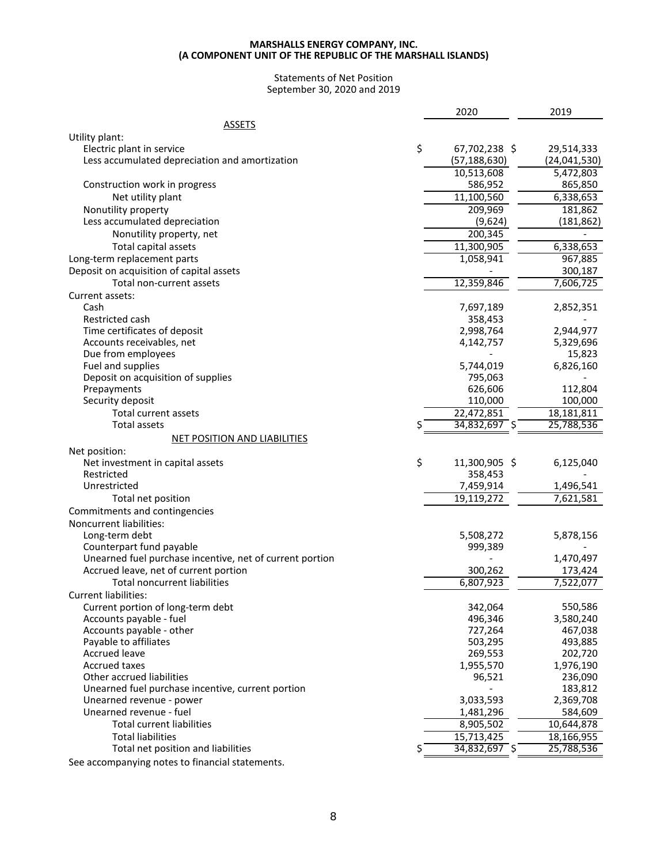#### Statements of Net Position September 30, 2020 and 2019

| <b>ASSETS</b><br>Utility plant:<br>\$<br>Electric plant in service<br>67,702,238 \$<br>29,514,333<br>Less accumulated depreciation and amortization<br>(57, 188, 630)<br>(24,041,530)<br>10,513,608<br>5,472,803<br>586,952<br>865,850<br>Construction work in progress<br>Net utility plant<br>11,100,560<br>6,338,653<br>Nonutility property<br>209,969<br>181,862<br>Less accumulated depreciation<br>(9,624)<br>(181,862)<br>200,345<br>Nonutility property, net<br>Total capital assets<br>11,300,905<br>6,338,653<br>Long-term replacement parts<br>1,058,941<br>967,885<br>Deposit on acquisition of capital assets<br>300,187<br>12,359,846<br>7,606,725<br>Total non-current assets<br>Current assets:<br>Cash<br>7,697,189<br>2,852,351<br>Restricted cash<br>358,453<br>Time certificates of deposit<br>2,998,764<br>2,944,977<br>Accounts receivables, net<br>5,329,696<br>4,142,757<br>Due from employees<br>15,823<br>Fuel and supplies<br>6,826,160<br>5,744,019<br>Deposit on acquisition of supplies<br>795,063<br>Prepayments<br>626,606<br>112,804<br>Security deposit<br>110,000<br>100,000<br>Total current assets<br>22,472,851<br>18,181,811<br>34,832,697 \$<br><b>Total assets</b><br>25,788,536<br><b>NET POSITION AND LIABILITIES</b><br>Net position:<br>\$<br>11,300,905 \$<br>6,125,040<br>Net investment in capital assets<br>358,453<br>Restricted<br>7,459,914<br>Unrestricted<br>1,496,541<br>19,119,272<br>7,621,581<br>Total net position<br>Commitments and contingencies<br>Noncurrent liabilities:<br>Long-term debt<br>5,508,272<br>5,878,156<br>Counterpart fund payable<br>999,389<br>Unearned fuel purchase incentive, net of current portion<br>1,470,497<br>Accrued leave, net of current portion<br>300,262<br>173,424<br><b>Total noncurrent liabilities</b><br>6,807,923<br>7,522,077<br>Current liabilities:<br>Current portion of long-term debt<br>342,064<br>550,586<br>Accounts payable - fuel<br>496,346<br>3,580,240<br>Accounts payable - other<br>727,264<br>467,038<br>Payable to affiliates<br>503,295<br>493,885<br>202,720<br><b>Accrued leave</b><br>269,553<br><b>Accrued taxes</b><br>1,955,570<br>1,976,190<br>Other accrued liabilities<br>96,521<br>236,090<br>Unearned fuel purchase incentive, current portion<br>183,812<br>3,033,593<br>2,369,708<br>Unearned revenue - power<br>Unearned revenue - fuel<br>1,481,296<br>584,609<br><b>Total current liabilities</b><br>8,905,502<br>10,644,878<br><b>Total liabilities</b><br>15,713,425<br>18,166,955<br>$34,832,697$ \$<br>25,788,536<br>Total net position and liabilities<br>See accompanying notes to financial statements. |  | 2020 | 2019 |
|----------------------------------------------------------------------------------------------------------------------------------------------------------------------------------------------------------------------------------------------------------------------------------------------------------------------------------------------------------------------------------------------------------------------------------------------------------------------------------------------------------------------------------------------------------------------------------------------------------------------------------------------------------------------------------------------------------------------------------------------------------------------------------------------------------------------------------------------------------------------------------------------------------------------------------------------------------------------------------------------------------------------------------------------------------------------------------------------------------------------------------------------------------------------------------------------------------------------------------------------------------------------------------------------------------------------------------------------------------------------------------------------------------------------------------------------------------------------------------------------------------------------------------------------------------------------------------------------------------------------------------------------------------------------------------------------------------------------------------------------------------------------------------------------------------------------------------------------------------------------------------------------------------------------------------------------------------------------------------------------------------------------------------------------------------------------------------------------------------------------------------------------------------------------------------------------------------------------------------------------------------------------------------------------------------------------------------------------------------------------------------------------------------------------------------------------------------------------------------------------------------------------------------------------------------------------------------------------------------------------------------------------------------|--|------|------|
|                                                                                                                                                                                                                                                                                                                                                                                                                                                                                                                                                                                                                                                                                                                                                                                                                                                                                                                                                                                                                                                                                                                                                                                                                                                                                                                                                                                                                                                                                                                                                                                                                                                                                                                                                                                                                                                                                                                                                                                                                                                                                                                                                                                                                                                                                                                                                                                                                                                                                                                                                                                                                                                          |  |      |      |
|                                                                                                                                                                                                                                                                                                                                                                                                                                                                                                                                                                                                                                                                                                                                                                                                                                                                                                                                                                                                                                                                                                                                                                                                                                                                                                                                                                                                                                                                                                                                                                                                                                                                                                                                                                                                                                                                                                                                                                                                                                                                                                                                                                                                                                                                                                                                                                                                                                                                                                                                                                                                                                                          |  |      |      |
|                                                                                                                                                                                                                                                                                                                                                                                                                                                                                                                                                                                                                                                                                                                                                                                                                                                                                                                                                                                                                                                                                                                                                                                                                                                                                                                                                                                                                                                                                                                                                                                                                                                                                                                                                                                                                                                                                                                                                                                                                                                                                                                                                                                                                                                                                                                                                                                                                                                                                                                                                                                                                                                          |  |      |      |
|                                                                                                                                                                                                                                                                                                                                                                                                                                                                                                                                                                                                                                                                                                                                                                                                                                                                                                                                                                                                                                                                                                                                                                                                                                                                                                                                                                                                                                                                                                                                                                                                                                                                                                                                                                                                                                                                                                                                                                                                                                                                                                                                                                                                                                                                                                                                                                                                                                                                                                                                                                                                                                                          |  |      |      |
|                                                                                                                                                                                                                                                                                                                                                                                                                                                                                                                                                                                                                                                                                                                                                                                                                                                                                                                                                                                                                                                                                                                                                                                                                                                                                                                                                                                                                                                                                                                                                                                                                                                                                                                                                                                                                                                                                                                                                                                                                                                                                                                                                                                                                                                                                                                                                                                                                                                                                                                                                                                                                                                          |  |      |      |
|                                                                                                                                                                                                                                                                                                                                                                                                                                                                                                                                                                                                                                                                                                                                                                                                                                                                                                                                                                                                                                                                                                                                                                                                                                                                                                                                                                                                                                                                                                                                                                                                                                                                                                                                                                                                                                                                                                                                                                                                                                                                                                                                                                                                                                                                                                                                                                                                                                                                                                                                                                                                                                                          |  |      |      |
|                                                                                                                                                                                                                                                                                                                                                                                                                                                                                                                                                                                                                                                                                                                                                                                                                                                                                                                                                                                                                                                                                                                                                                                                                                                                                                                                                                                                                                                                                                                                                                                                                                                                                                                                                                                                                                                                                                                                                                                                                                                                                                                                                                                                                                                                                                                                                                                                                                                                                                                                                                                                                                                          |  |      |      |
|                                                                                                                                                                                                                                                                                                                                                                                                                                                                                                                                                                                                                                                                                                                                                                                                                                                                                                                                                                                                                                                                                                                                                                                                                                                                                                                                                                                                                                                                                                                                                                                                                                                                                                                                                                                                                                                                                                                                                                                                                                                                                                                                                                                                                                                                                                                                                                                                                                                                                                                                                                                                                                                          |  |      |      |
|                                                                                                                                                                                                                                                                                                                                                                                                                                                                                                                                                                                                                                                                                                                                                                                                                                                                                                                                                                                                                                                                                                                                                                                                                                                                                                                                                                                                                                                                                                                                                                                                                                                                                                                                                                                                                                                                                                                                                                                                                                                                                                                                                                                                                                                                                                                                                                                                                                                                                                                                                                                                                                                          |  |      |      |
|                                                                                                                                                                                                                                                                                                                                                                                                                                                                                                                                                                                                                                                                                                                                                                                                                                                                                                                                                                                                                                                                                                                                                                                                                                                                                                                                                                                                                                                                                                                                                                                                                                                                                                                                                                                                                                                                                                                                                                                                                                                                                                                                                                                                                                                                                                                                                                                                                                                                                                                                                                                                                                                          |  |      |      |
|                                                                                                                                                                                                                                                                                                                                                                                                                                                                                                                                                                                                                                                                                                                                                                                                                                                                                                                                                                                                                                                                                                                                                                                                                                                                                                                                                                                                                                                                                                                                                                                                                                                                                                                                                                                                                                                                                                                                                                                                                                                                                                                                                                                                                                                                                                                                                                                                                                                                                                                                                                                                                                                          |  |      |      |
|                                                                                                                                                                                                                                                                                                                                                                                                                                                                                                                                                                                                                                                                                                                                                                                                                                                                                                                                                                                                                                                                                                                                                                                                                                                                                                                                                                                                                                                                                                                                                                                                                                                                                                                                                                                                                                                                                                                                                                                                                                                                                                                                                                                                                                                                                                                                                                                                                                                                                                                                                                                                                                                          |  |      |      |
|                                                                                                                                                                                                                                                                                                                                                                                                                                                                                                                                                                                                                                                                                                                                                                                                                                                                                                                                                                                                                                                                                                                                                                                                                                                                                                                                                                                                                                                                                                                                                                                                                                                                                                                                                                                                                                                                                                                                                                                                                                                                                                                                                                                                                                                                                                                                                                                                                                                                                                                                                                                                                                                          |  |      |      |
|                                                                                                                                                                                                                                                                                                                                                                                                                                                                                                                                                                                                                                                                                                                                                                                                                                                                                                                                                                                                                                                                                                                                                                                                                                                                                                                                                                                                                                                                                                                                                                                                                                                                                                                                                                                                                                                                                                                                                                                                                                                                                                                                                                                                                                                                                                                                                                                                                                                                                                                                                                                                                                                          |  |      |      |
|                                                                                                                                                                                                                                                                                                                                                                                                                                                                                                                                                                                                                                                                                                                                                                                                                                                                                                                                                                                                                                                                                                                                                                                                                                                                                                                                                                                                                                                                                                                                                                                                                                                                                                                                                                                                                                                                                                                                                                                                                                                                                                                                                                                                                                                                                                                                                                                                                                                                                                                                                                                                                                                          |  |      |      |
|                                                                                                                                                                                                                                                                                                                                                                                                                                                                                                                                                                                                                                                                                                                                                                                                                                                                                                                                                                                                                                                                                                                                                                                                                                                                                                                                                                                                                                                                                                                                                                                                                                                                                                                                                                                                                                                                                                                                                                                                                                                                                                                                                                                                                                                                                                                                                                                                                                                                                                                                                                                                                                                          |  |      |      |
|                                                                                                                                                                                                                                                                                                                                                                                                                                                                                                                                                                                                                                                                                                                                                                                                                                                                                                                                                                                                                                                                                                                                                                                                                                                                                                                                                                                                                                                                                                                                                                                                                                                                                                                                                                                                                                                                                                                                                                                                                                                                                                                                                                                                                                                                                                                                                                                                                                                                                                                                                                                                                                                          |  |      |      |
|                                                                                                                                                                                                                                                                                                                                                                                                                                                                                                                                                                                                                                                                                                                                                                                                                                                                                                                                                                                                                                                                                                                                                                                                                                                                                                                                                                                                                                                                                                                                                                                                                                                                                                                                                                                                                                                                                                                                                                                                                                                                                                                                                                                                                                                                                                                                                                                                                                                                                                                                                                                                                                                          |  |      |      |
|                                                                                                                                                                                                                                                                                                                                                                                                                                                                                                                                                                                                                                                                                                                                                                                                                                                                                                                                                                                                                                                                                                                                                                                                                                                                                                                                                                                                                                                                                                                                                                                                                                                                                                                                                                                                                                                                                                                                                                                                                                                                                                                                                                                                                                                                                                                                                                                                                                                                                                                                                                                                                                                          |  |      |      |
|                                                                                                                                                                                                                                                                                                                                                                                                                                                                                                                                                                                                                                                                                                                                                                                                                                                                                                                                                                                                                                                                                                                                                                                                                                                                                                                                                                                                                                                                                                                                                                                                                                                                                                                                                                                                                                                                                                                                                                                                                                                                                                                                                                                                                                                                                                                                                                                                                                                                                                                                                                                                                                                          |  |      |      |
|                                                                                                                                                                                                                                                                                                                                                                                                                                                                                                                                                                                                                                                                                                                                                                                                                                                                                                                                                                                                                                                                                                                                                                                                                                                                                                                                                                                                                                                                                                                                                                                                                                                                                                                                                                                                                                                                                                                                                                                                                                                                                                                                                                                                                                                                                                                                                                                                                                                                                                                                                                                                                                                          |  |      |      |
|                                                                                                                                                                                                                                                                                                                                                                                                                                                                                                                                                                                                                                                                                                                                                                                                                                                                                                                                                                                                                                                                                                                                                                                                                                                                                                                                                                                                                                                                                                                                                                                                                                                                                                                                                                                                                                                                                                                                                                                                                                                                                                                                                                                                                                                                                                                                                                                                                                                                                                                                                                                                                                                          |  |      |      |
|                                                                                                                                                                                                                                                                                                                                                                                                                                                                                                                                                                                                                                                                                                                                                                                                                                                                                                                                                                                                                                                                                                                                                                                                                                                                                                                                                                                                                                                                                                                                                                                                                                                                                                                                                                                                                                                                                                                                                                                                                                                                                                                                                                                                                                                                                                                                                                                                                                                                                                                                                                                                                                                          |  |      |      |
|                                                                                                                                                                                                                                                                                                                                                                                                                                                                                                                                                                                                                                                                                                                                                                                                                                                                                                                                                                                                                                                                                                                                                                                                                                                                                                                                                                                                                                                                                                                                                                                                                                                                                                                                                                                                                                                                                                                                                                                                                                                                                                                                                                                                                                                                                                                                                                                                                                                                                                                                                                                                                                                          |  |      |      |
|                                                                                                                                                                                                                                                                                                                                                                                                                                                                                                                                                                                                                                                                                                                                                                                                                                                                                                                                                                                                                                                                                                                                                                                                                                                                                                                                                                                                                                                                                                                                                                                                                                                                                                                                                                                                                                                                                                                                                                                                                                                                                                                                                                                                                                                                                                                                                                                                                                                                                                                                                                                                                                                          |  |      |      |
|                                                                                                                                                                                                                                                                                                                                                                                                                                                                                                                                                                                                                                                                                                                                                                                                                                                                                                                                                                                                                                                                                                                                                                                                                                                                                                                                                                                                                                                                                                                                                                                                                                                                                                                                                                                                                                                                                                                                                                                                                                                                                                                                                                                                                                                                                                                                                                                                                                                                                                                                                                                                                                                          |  |      |      |
|                                                                                                                                                                                                                                                                                                                                                                                                                                                                                                                                                                                                                                                                                                                                                                                                                                                                                                                                                                                                                                                                                                                                                                                                                                                                                                                                                                                                                                                                                                                                                                                                                                                                                                                                                                                                                                                                                                                                                                                                                                                                                                                                                                                                                                                                                                                                                                                                                                                                                                                                                                                                                                                          |  |      |      |
|                                                                                                                                                                                                                                                                                                                                                                                                                                                                                                                                                                                                                                                                                                                                                                                                                                                                                                                                                                                                                                                                                                                                                                                                                                                                                                                                                                                                                                                                                                                                                                                                                                                                                                                                                                                                                                                                                                                                                                                                                                                                                                                                                                                                                                                                                                                                                                                                                                                                                                                                                                                                                                                          |  |      |      |
|                                                                                                                                                                                                                                                                                                                                                                                                                                                                                                                                                                                                                                                                                                                                                                                                                                                                                                                                                                                                                                                                                                                                                                                                                                                                                                                                                                                                                                                                                                                                                                                                                                                                                                                                                                                                                                                                                                                                                                                                                                                                                                                                                                                                                                                                                                                                                                                                                                                                                                                                                                                                                                                          |  |      |      |
|                                                                                                                                                                                                                                                                                                                                                                                                                                                                                                                                                                                                                                                                                                                                                                                                                                                                                                                                                                                                                                                                                                                                                                                                                                                                                                                                                                                                                                                                                                                                                                                                                                                                                                                                                                                                                                                                                                                                                                                                                                                                                                                                                                                                                                                                                                                                                                                                                                                                                                                                                                                                                                                          |  |      |      |
|                                                                                                                                                                                                                                                                                                                                                                                                                                                                                                                                                                                                                                                                                                                                                                                                                                                                                                                                                                                                                                                                                                                                                                                                                                                                                                                                                                                                                                                                                                                                                                                                                                                                                                                                                                                                                                                                                                                                                                                                                                                                                                                                                                                                                                                                                                                                                                                                                                                                                                                                                                                                                                                          |  |      |      |
|                                                                                                                                                                                                                                                                                                                                                                                                                                                                                                                                                                                                                                                                                                                                                                                                                                                                                                                                                                                                                                                                                                                                                                                                                                                                                                                                                                                                                                                                                                                                                                                                                                                                                                                                                                                                                                                                                                                                                                                                                                                                                                                                                                                                                                                                                                                                                                                                                                                                                                                                                                                                                                                          |  |      |      |
|                                                                                                                                                                                                                                                                                                                                                                                                                                                                                                                                                                                                                                                                                                                                                                                                                                                                                                                                                                                                                                                                                                                                                                                                                                                                                                                                                                                                                                                                                                                                                                                                                                                                                                                                                                                                                                                                                                                                                                                                                                                                                                                                                                                                                                                                                                                                                                                                                                                                                                                                                                                                                                                          |  |      |      |
|                                                                                                                                                                                                                                                                                                                                                                                                                                                                                                                                                                                                                                                                                                                                                                                                                                                                                                                                                                                                                                                                                                                                                                                                                                                                                                                                                                                                                                                                                                                                                                                                                                                                                                                                                                                                                                                                                                                                                                                                                                                                                                                                                                                                                                                                                                                                                                                                                                                                                                                                                                                                                                                          |  |      |      |
|                                                                                                                                                                                                                                                                                                                                                                                                                                                                                                                                                                                                                                                                                                                                                                                                                                                                                                                                                                                                                                                                                                                                                                                                                                                                                                                                                                                                                                                                                                                                                                                                                                                                                                                                                                                                                                                                                                                                                                                                                                                                                                                                                                                                                                                                                                                                                                                                                                                                                                                                                                                                                                                          |  |      |      |
|                                                                                                                                                                                                                                                                                                                                                                                                                                                                                                                                                                                                                                                                                                                                                                                                                                                                                                                                                                                                                                                                                                                                                                                                                                                                                                                                                                                                                                                                                                                                                                                                                                                                                                                                                                                                                                                                                                                                                                                                                                                                                                                                                                                                                                                                                                                                                                                                                                                                                                                                                                                                                                                          |  |      |      |
|                                                                                                                                                                                                                                                                                                                                                                                                                                                                                                                                                                                                                                                                                                                                                                                                                                                                                                                                                                                                                                                                                                                                                                                                                                                                                                                                                                                                                                                                                                                                                                                                                                                                                                                                                                                                                                                                                                                                                                                                                                                                                                                                                                                                                                                                                                                                                                                                                                                                                                                                                                                                                                                          |  |      |      |
|                                                                                                                                                                                                                                                                                                                                                                                                                                                                                                                                                                                                                                                                                                                                                                                                                                                                                                                                                                                                                                                                                                                                                                                                                                                                                                                                                                                                                                                                                                                                                                                                                                                                                                                                                                                                                                                                                                                                                                                                                                                                                                                                                                                                                                                                                                                                                                                                                                                                                                                                                                                                                                                          |  |      |      |
|                                                                                                                                                                                                                                                                                                                                                                                                                                                                                                                                                                                                                                                                                                                                                                                                                                                                                                                                                                                                                                                                                                                                                                                                                                                                                                                                                                                                                                                                                                                                                                                                                                                                                                                                                                                                                                                                                                                                                                                                                                                                                                                                                                                                                                                                                                                                                                                                                                                                                                                                                                                                                                                          |  |      |      |
|                                                                                                                                                                                                                                                                                                                                                                                                                                                                                                                                                                                                                                                                                                                                                                                                                                                                                                                                                                                                                                                                                                                                                                                                                                                                                                                                                                                                                                                                                                                                                                                                                                                                                                                                                                                                                                                                                                                                                                                                                                                                                                                                                                                                                                                                                                                                                                                                                                                                                                                                                                                                                                                          |  |      |      |
|                                                                                                                                                                                                                                                                                                                                                                                                                                                                                                                                                                                                                                                                                                                                                                                                                                                                                                                                                                                                                                                                                                                                                                                                                                                                                                                                                                                                                                                                                                                                                                                                                                                                                                                                                                                                                                                                                                                                                                                                                                                                                                                                                                                                                                                                                                                                                                                                                                                                                                                                                                                                                                                          |  |      |      |
|                                                                                                                                                                                                                                                                                                                                                                                                                                                                                                                                                                                                                                                                                                                                                                                                                                                                                                                                                                                                                                                                                                                                                                                                                                                                                                                                                                                                                                                                                                                                                                                                                                                                                                                                                                                                                                                                                                                                                                                                                                                                                                                                                                                                                                                                                                                                                                                                                                                                                                                                                                                                                                                          |  |      |      |
|                                                                                                                                                                                                                                                                                                                                                                                                                                                                                                                                                                                                                                                                                                                                                                                                                                                                                                                                                                                                                                                                                                                                                                                                                                                                                                                                                                                                                                                                                                                                                                                                                                                                                                                                                                                                                                                                                                                                                                                                                                                                                                                                                                                                                                                                                                                                                                                                                                                                                                                                                                                                                                                          |  |      |      |
|                                                                                                                                                                                                                                                                                                                                                                                                                                                                                                                                                                                                                                                                                                                                                                                                                                                                                                                                                                                                                                                                                                                                                                                                                                                                                                                                                                                                                                                                                                                                                                                                                                                                                                                                                                                                                                                                                                                                                                                                                                                                                                                                                                                                                                                                                                                                                                                                                                                                                                                                                                                                                                                          |  |      |      |
|                                                                                                                                                                                                                                                                                                                                                                                                                                                                                                                                                                                                                                                                                                                                                                                                                                                                                                                                                                                                                                                                                                                                                                                                                                                                                                                                                                                                                                                                                                                                                                                                                                                                                                                                                                                                                                                                                                                                                                                                                                                                                                                                                                                                                                                                                                                                                                                                                                                                                                                                                                                                                                                          |  |      |      |
|                                                                                                                                                                                                                                                                                                                                                                                                                                                                                                                                                                                                                                                                                                                                                                                                                                                                                                                                                                                                                                                                                                                                                                                                                                                                                                                                                                                                                                                                                                                                                                                                                                                                                                                                                                                                                                                                                                                                                                                                                                                                                                                                                                                                                                                                                                                                                                                                                                                                                                                                                                                                                                                          |  |      |      |
|                                                                                                                                                                                                                                                                                                                                                                                                                                                                                                                                                                                                                                                                                                                                                                                                                                                                                                                                                                                                                                                                                                                                                                                                                                                                                                                                                                                                                                                                                                                                                                                                                                                                                                                                                                                                                                                                                                                                                                                                                                                                                                                                                                                                                                                                                                                                                                                                                                                                                                                                                                                                                                                          |  |      |      |
|                                                                                                                                                                                                                                                                                                                                                                                                                                                                                                                                                                                                                                                                                                                                                                                                                                                                                                                                                                                                                                                                                                                                                                                                                                                                                                                                                                                                                                                                                                                                                                                                                                                                                                                                                                                                                                                                                                                                                                                                                                                                                                                                                                                                                                                                                                                                                                                                                                                                                                                                                                                                                                                          |  |      |      |
|                                                                                                                                                                                                                                                                                                                                                                                                                                                                                                                                                                                                                                                                                                                                                                                                                                                                                                                                                                                                                                                                                                                                                                                                                                                                                                                                                                                                                                                                                                                                                                                                                                                                                                                                                                                                                                                                                                                                                                                                                                                                                                                                                                                                                                                                                                                                                                                                                                                                                                                                                                                                                                                          |  |      |      |
|                                                                                                                                                                                                                                                                                                                                                                                                                                                                                                                                                                                                                                                                                                                                                                                                                                                                                                                                                                                                                                                                                                                                                                                                                                                                                                                                                                                                                                                                                                                                                                                                                                                                                                                                                                                                                                                                                                                                                                                                                                                                                                                                                                                                                                                                                                                                                                                                                                                                                                                                                                                                                                                          |  |      |      |
|                                                                                                                                                                                                                                                                                                                                                                                                                                                                                                                                                                                                                                                                                                                                                                                                                                                                                                                                                                                                                                                                                                                                                                                                                                                                                                                                                                                                                                                                                                                                                                                                                                                                                                                                                                                                                                                                                                                                                                                                                                                                                                                                                                                                                                                                                                                                                                                                                                                                                                                                                                                                                                                          |  |      |      |
|                                                                                                                                                                                                                                                                                                                                                                                                                                                                                                                                                                                                                                                                                                                                                                                                                                                                                                                                                                                                                                                                                                                                                                                                                                                                                                                                                                                                                                                                                                                                                                                                                                                                                                                                                                                                                                                                                                                                                                                                                                                                                                                                                                                                                                                                                                                                                                                                                                                                                                                                                                                                                                                          |  |      |      |
|                                                                                                                                                                                                                                                                                                                                                                                                                                                                                                                                                                                                                                                                                                                                                                                                                                                                                                                                                                                                                                                                                                                                                                                                                                                                                                                                                                                                                                                                                                                                                                                                                                                                                                                                                                                                                                                                                                                                                                                                                                                                                                                                                                                                                                                                                                                                                                                                                                                                                                                                                                                                                                                          |  |      |      |
|                                                                                                                                                                                                                                                                                                                                                                                                                                                                                                                                                                                                                                                                                                                                                                                                                                                                                                                                                                                                                                                                                                                                                                                                                                                                                                                                                                                                                                                                                                                                                                                                                                                                                                                                                                                                                                                                                                                                                                                                                                                                                                                                                                                                                                                                                                                                                                                                                                                                                                                                                                                                                                                          |  |      |      |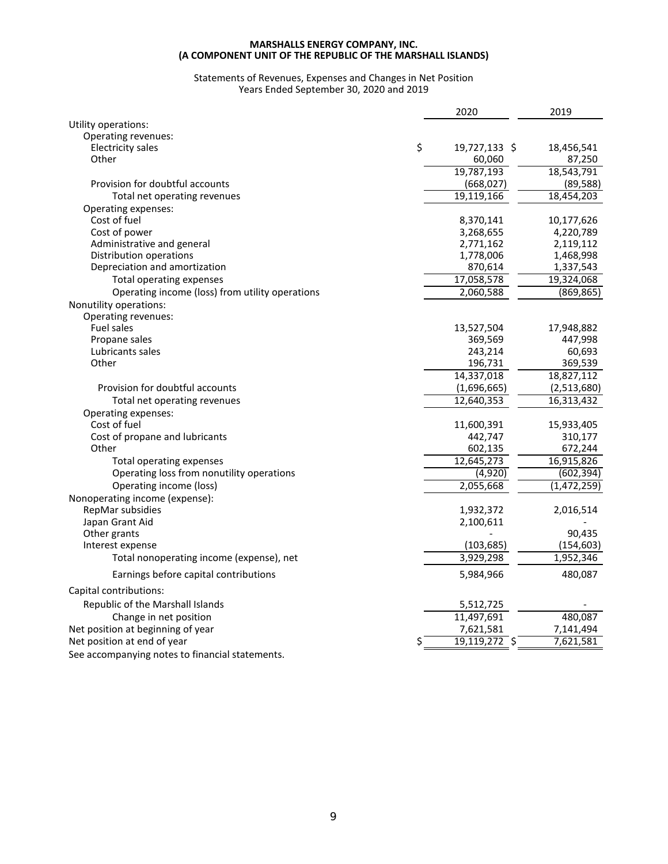#### Statements of Revenues, Expenses and Changes in Net Position Years Ended September 30, 2020 and 2019

|                                                 | 2020                | 2019          |
|-------------------------------------------------|---------------------|---------------|
| Utility operations:                             |                     |               |
| Operating revenues:                             |                     |               |
| <b>Electricity sales</b>                        | \$<br>19,727,133 \$ | 18,456,541    |
| Other                                           | 60,060              | 87,250        |
|                                                 | 19,787,193          | 18,543,791    |
| Provision for doubtful accounts                 | (668, 027)          | (89, 588)     |
| Total net operating revenues                    | 19,119,166          | 18,454,203    |
| Operating expenses:                             |                     |               |
| Cost of fuel                                    | 8,370,141           | 10,177,626    |
| Cost of power                                   | 3,268,655           | 4,220,789     |
| Administrative and general                      | 2,771,162           | 2,119,112     |
| Distribution operations                         | 1,778,006           | 1,468,998     |
| Depreciation and amortization                   | 870,614             | 1,337,543     |
| Total operating expenses                        | 17,058,578          | 19,324,068    |
| Operating income (loss) from utility operations | 2,060,588           | (869, 865)    |
| Nonutility operations:                          |                     |               |
| Operating revenues:                             |                     |               |
| <b>Fuel sales</b>                               | 13,527,504          | 17,948,882    |
| Propane sales                                   | 369,569             | 447,998       |
| Lubricants sales                                | 243,214             | 60,693        |
| Other                                           | 196,731             | 369,539       |
|                                                 | 14,337,018          | 18,827,112    |
| Provision for doubtful accounts                 | (1,696,665)         | (2,513,680)   |
| Total net operating revenues                    | 12,640,353          | 16,313,432    |
| Operating expenses:                             |                     |               |
| Cost of fuel                                    | 11,600,391          | 15,933,405    |
| Cost of propane and lubricants                  | 442,747             | 310,177       |
| Other                                           | 602,135             | 672,244       |
| Total operating expenses                        | 12,645,273          | 16,915,826    |
| Operating loss from nonutility operations       | (4,920)             | (602, 394)    |
| Operating income (loss)                         | 2,055,668           | (1, 472, 259) |
| Nonoperating income (expense):                  |                     |               |
| RepMar subsidies                                | 1,932,372           | 2,016,514     |
| Japan Grant Aid                                 | 2,100,611           |               |
| Other grants                                    |                     | 90,435        |
| Interest expense                                | (103, 685)          | (154, 603)    |
| Total nonoperating income (expense), net        | 3,929,298           | 1,952,346     |
| Earnings before capital contributions           | 5,984,966           | 480,087       |
| Capital contributions:                          |                     |               |
| Republic of the Marshall Islands                | 5,512,725           |               |
| Change in net position                          | 11,497,691          | 480,087       |
| Net position at beginning of year               | 7,621,581           | 7,141,494     |
| Net position at end of year                     | 19,119,272<br>\$,   | 7,621,581     |
| See accompanying notes to financial statements. |                     |               |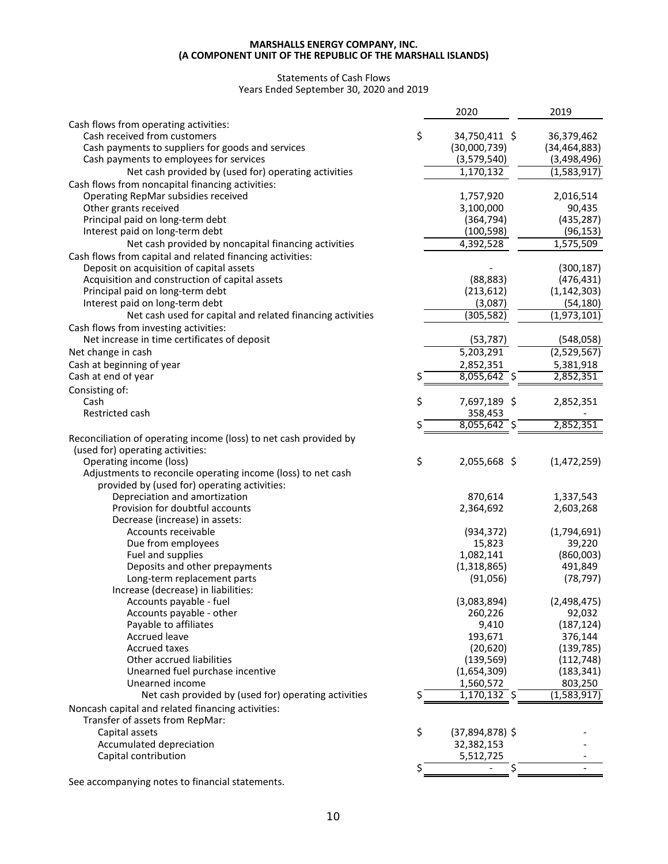#### Statements of Cash Flows Years Ended September 30, 2020 and 2019

|                                                                   |    | 2020              | 2019           |
|-------------------------------------------------------------------|----|-------------------|----------------|
| Cash flows from operating activities:                             |    |                   |                |
| Cash received from customers                                      | \$ | 34,750,411 \$     | 36,379,462     |
| Cash payments to suppliers for goods and services                 |    | (30,000,739)      | (34, 464, 883) |
| Cash payments to employees for services                           |    | (3,579,540)       | (3,498,496)    |
| Net cash provided by (used for) operating activities              |    | 1,170,132         | (1,583,917)    |
| Cash flows from noncapital financing activities:                  |    |                   |                |
| Operating RepMar subsidies received                               |    | 1,757,920         | 2,016,514      |
| Other grants received                                             |    | 3,100,000         | 90,435         |
| Principal paid on long-term debt                                  |    | (364, 794)        | (435, 287)     |
| Interest paid on long-term debt                                   |    | (100, 598)        | (96, 153)      |
| Net cash provided by noncapital financing activities              |    | 4,392,528         | 1,575,509      |
| Cash flows from capital and related financing activities:         |    |                   |                |
| Deposit on acquisition of capital assets                          |    |                   | (300, 187)     |
| Acquisition and construction of capital assets                    |    | (88, 883)         | (476, 431)     |
| Principal paid on long-term debt                                  |    | (213, 612)        | (1, 142, 303)  |
| Interest paid on long-term debt                                   |    | (3,087)           | (54, 180)      |
| Net cash used for capital and related financing activities        |    | (305, 582)        | (1,973,101)    |
| Cash flows from investing activities:                             |    |                   |                |
| Net increase in time certificates of deposit                      |    | (53, 787)         | (548, 058)     |
| Net change in cash                                                |    | 5,203,291         | (2,529,567)    |
| Cash at beginning of year                                         |    | 2,852,351         | 5,381,918      |
| Cash at end of year                                               |    | $8,055,642$ \$    | 2,852,351      |
| Consisting of:                                                    |    |                   |                |
| Cash                                                              | \$ | 7,697,189 \$      | 2,852,351      |
| Restricted cash                                                   |    | 358,453           |                |
|                                                                   | S  | $8,055,642$ \$    | 2,852,351      |
| Reconciliation of operating income (loss) to net cash provided by |    |                   |                |
| (used for) operating activities:                                  |    |                   |                |
| Operating income (loss)                                           | \$ | 2,055,668 \$      | (1,472,259)    |
| Adjustments to reconcile operating income (loss) to net cash      |    |                   |                |
| provided by (used for) operating activities:                      |    |                   |                |
| Depreciation and amortization                                     |    | 870,614           | 1,337,543      |
| Provision for doubtful accounts                                   |    | 2,364,692         | 2,603,268      |
| Decrease (increase) in assets:                                    |    |                   |                |
| Accounts receivable                                               |    | (934, 372)        | (1,794,691)    |
| Due from employees                                                |    | 15,823            | 39,220         |
| Fuel and supplies                                                 |    | 1,082,141         | (860,003)      |
| Deposits and other prepayments                                    |    | (1,318,865)       | 491,849        |
| Long-term replacement parts                                       |    | (91,056)          | (78, 797)      |
| Increase (decrease) in liabilities:                               |    |                   |                |
| Accounts payable - fuel                                           |    | (3,083,894)       | (2,498,475)    |
| Accounts payable - other                                          |    | 260,226           | 92,032         |
| Payable to affiliates                                             |    | 9,410             | (187, 124)     |
| Accrued leave                                                     |    | 193,671           | 376,144        |
| Accrued taxes                                                     |    | (20, 620)         | (139, 785)     |
| Other accrued liabilities                                         |    | (139, 569)        | (112, 748)     |
| Unearned fuel purchase incentive                                  |    | (1,654,309)       | (183, 341)     |
| Unearned income                                                   |    | 1,560,572         | 803,250        |
| Net cash provided by (used for) operating activities              |    | $1,170,132$ \$    | (1,583,917)    |
| Noncash capital and related financing activities:                 |    |                   |                |
| Transfer of assets from RepMar:                                   |    |                   |                |
| Capital assets                                                    | \$ | $(37,894,878)$ \$ |                |
| Accumulated depreciation                                          |    | 32,382,153        |                |
| Capital contribution                                              |    | 5,512,725         |                |
|                                                                   |    | Ş                 |                |
| atos ta financial statom                                          |    |                   |                |

See accompanying notes to financial statements.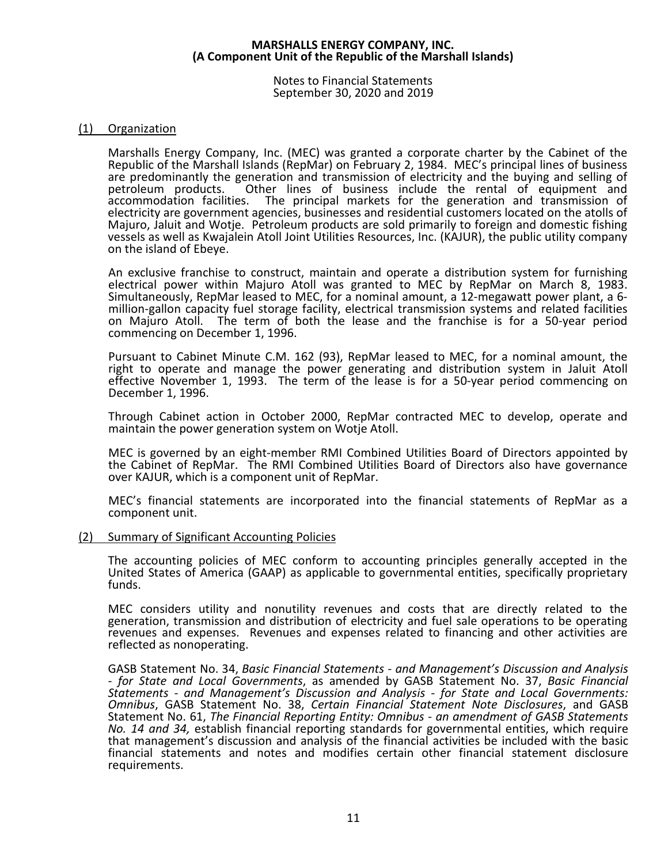Notes to Financial Statements September 30, 2020 and 2019

#### (1) Organization

Marshalls Energy Company, Inc. (MEC) was granted a corporate charter by the Cabinet of the Republic of the Marshall Islands (RepMar) on February 2, 1984. MEC's principal lines of business are predominantly the generation and transmission of electricity and the buying and selling of petroleum products. Other lines of business include the rental of equipment and accommodation facilities. The principal markets for the generation and transmission of electricity are government agencies, businesses and residential customers located on the atolls of Majuro, Jaluit and Wotje. Petroleum products are sold primarily to foreign and domestic fishing vessels as well as Kwajalein Atoll Joint Utilities Resources, Inc. (KAJUR), the public utility company on the island of Ebeye.

An exclusive franchise to construct, maintain and operate a distribution system for furnishing electrical power within Majuro Atoll was granted to MEC by RepMar on March 8, 1983.<br>Simultaneously, RepMar leased to MEC, for a nominal amount, a 12-megawatt power plant, a 6million-gallon capacity fuel storage facility, electrical transmission systems and related facilities on Majuro Atoll. The term of both the lease and the franchise is for a 50-year period commencing on December 1, 1996.

Pursuant to Cabinet Minute C.M. 162 (93), RepMar leased to MEC, for a nominal amount, the right to operate and manage the power generating and distribution system in Jaluit Atoll effective November 1, 1993. The term of the lease is for a 50-year period commencing on December 1, 1996.

Through Cabinet action in October 2000, RepMar contracted MEC to develop, operate and maintain the power generation system on Wotje Atoll.

MEC is governed by an eight-member RMI Combined Utilities Board of Directors appointed by the Cabinet of RepMar. The RMI Combined Utilities Board of Directors also have governance over KAJUR, which is a component unit of RepMar.

MEC's financial statements are incorporated into the financial statements of RepMar as a component unit.

#### (2) Summary of Significant Accounting Policies

The accounting policies of MEC conform to accounting principles generally accepted in the United States of America (GAAP) as applicable to governmental entities, specifically proprietary funds.

MEC considers utility and nonutility revenues and costs that are directly related to the generation, transmission and distribution of electricity and fuel sale operations to be operating revenues and expenses. Revenues and expenses related to financing and other activities are reflected as nonoperating.

GASB Statement No. 34, *Basic Financial Statements - and Management's Discussion and Analysis - for State and Local Governments*, as amended by GASB Statement No. 37, *Basic Financial Statements - and Management's Discussion and Analysis - for State and Local Governments: Omnibus*, GASB Statement No. 38, *Certain Financial Statement Note Disclosures*, and GASB Statement No. 61, *The Financial Reporting Entity: Omnibus - an amendment of GASB Statements No. 14 and 34,* establish financial reporting standards for governmental entities, which require that management's discussion and analysis of the financial activities be included with the basic financial statements and notes and modifies certain other financial statement disclosure requirements.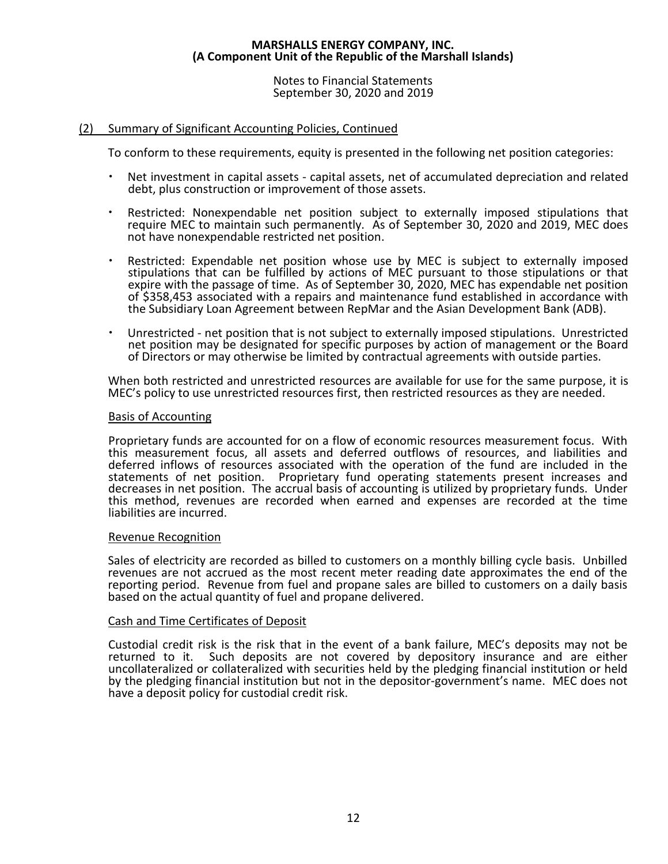Notes to Financial Statements September 30, 2020 and 2019

# (2) Summary of Significant Accounting Policies, Continued

To conform to these requirements, equity is presented in the following net position categories:

- Net investment in capital assets capital assets, net of accumulated depreciation and related debt, plus construction or improvement of those assets.
- Restricted: Nonexpendable net position subject to externally imposed stipulations that require MEC to maintain such permanently. As of September 30, 2020 and 2019, MEC does not have nonexpendable restricted net position.
- Restricted: Expendable net position whose use by MEC is subject to externally imposed stipulations that can be fulfilled by actions of MEC pursuant to those stipulations or that expire with the passage of time. As of September 30, 2020, MEC has expendable net position of \$358,453 associated with a repairs and maintenance fund established in accordance with the Subsidiary Loan Agreement between RepMar and the Asian Development Bank (ADB).
- Unrestricted net position that is not subject to externally imposed stipulations. Unrestricted net position may be designated for specific purposes by action of management or the Board of Directors or may otherwise be limited by contractual agreements with outside parties.

When both restricted and unrestricted resources are available for use for the same purpose, it is MEC's policy to use unrestricted resources first, then restricted resources as they are needed.

#### Basis of Accounting

Proprietary funds are accounted for on a flow of economic resources measurement focus. With this measurement focus, all assets and deferred outflows of resources, and liabilities and deferred inflows of resources associated with the operation of the fund are included in the statements of net position. Proprietary fund operating statements present increases and decreases in net position. The accrual basis of accounting is utilized by proprietary funds. Under this method, revenues are recorded when earned and expenses are recorded at the time liabilities are incurred.

#### Revenue Recognition

Sales of electricity are recorded as billed to customers on a monthly billing cycle basis. Unbilled revenues are not accrued as the most recent meter reading date approximates the end of the reporting period. Revenue from fuel and propane sales are billed to customers on a daily basis based on the actual quantity of fuel and propane delivered.

#### Cash and Time Certificates of Deposit

Custodial credit risk is the risk that in the event of a bank failure, MEC's deposits may not be returned to it. Such deposits are not covered by depository insurance and are either uncollateralized or collateralized with securities held by the pledging financial institution or held by the pledging financial institution but not in the depositor-government's name. MEC does not have a deposit policy for custodial credit risk.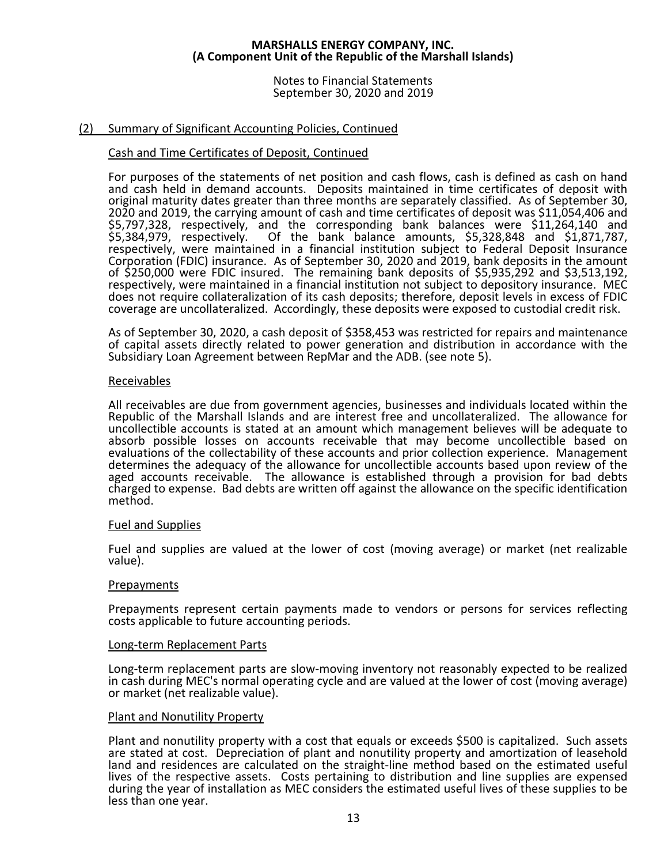Notes to Financial Statements September 30, 2020 and 2019

# (2) Summary of Significant Accounting Policies, Continued

# Cash and Time Certificates of Deposit, Continued

For purposes of the statements of net position and cash flows, cash is defined as cash on hand and cash held in demand accounts. Deposits maintained in time certificates of deposit with original maturity dates greater than three months are separately classified. As of September 30, 2020 and 2019, the carrying amount of cash and time certificates of deposit was \$11,054,406 and \$5,797,328, respectively, and the corresponding bank balances were \$11,264,140 and \$5,384,979, respectively. Of the bank balance amounts, \$5,328,848 and \$1,871,787,<br>respectively, were maintained in a financial institution subject to Federal Deposit Insurance Corporation (FDIC) insurance. As of September 30, 2020 and 2019, bank deposits in the amount of \$250,000 were FDIC insured. The remaining bank deposits of \$5,935,292 and \$3,513,192,<br>respectively, were maintained in a financial institution not subject to depository insurance. MEC does not require collateralization of its cash deposits; therefore, deposit levels in excess of FDIC coverage are uncollateralized. Accordingly, these deposits were exposed to custodial credit risk.

As of September 30, 2020, a cash deposit of \$358,453 was restricted for repairs and maintenance of capital assets directly related to power generation and distribution in accordance with the Subsidiary Loan Agreement between RepMar and the ADB. (see note 5).

#### Receivables

All receivables are due from government agencies, businesses and individuals located within the Republic of the Marshall Islands and are interest free and uncollateralized. The allowance for uncollectible accounts is stated at an amount which management believes will be adequate to absorb possible losses on accounts receivable that may become uncollectible based on evaluations of the collectability of these accounts and prior collection experience. Management determines the adequacy of the allowance for uncollectible accounts based upon review of the aged accounts receivable. The allowance is established through a provision for bad debts charged to expense. Bad debts are written off against the allowance on the specific identification method.

# Fuel and Supplies

Fuel and supplies are valued at the lower of cost (moving average) or market (net realizable value).

#### Prepayments

Prepayments represent certain payments made to vendors or persons for services reflecting costs applicable to future accounting periods.

#### Long-term Replacement Parts

Long-term replacement parts are slow-moving inventory not reasonably expected to be realized in cash during MEC's normal operating cycle and are valued at the lower of cost (moving average) or market (net realizable value).

#### Plant and Nonutility Property

Plant and nonutility property with a cost that equals or exceeds \$500 is capitalized. Such assets are stated at cost. Depreciation of plant and nonutility property and amortization of leasehold land and residences are calculated on the straight-line method based on the estimated useful lives of the respective assets. Costs pertaining to distribution and line supplies are expensed during the year of installation as MEC considers the estimated useful lives of these supplies to be less than one year.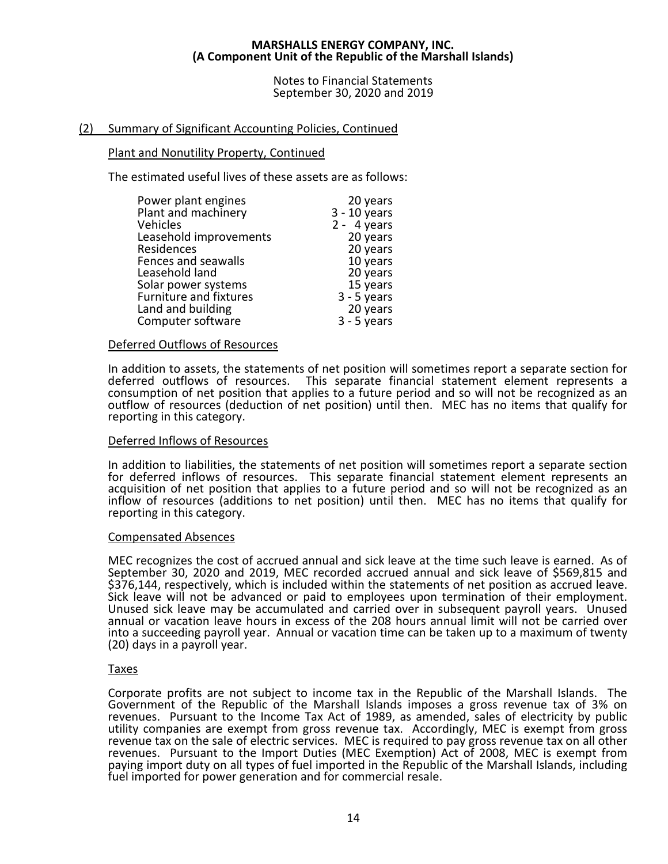Notes to Financial Statements September 30, 2020 and 2019

# (2) Summary of Significant Accounting Policies, Continued

# Plant and Nonutility Property, Continued

The estimated useful lives of these assets are as follows:

| Power plant engines           | 20 years      |
|-------------------------------|---------------|
| Plant and machinery           | 3 - 10 years  |
| Vehicles                      | $2 - 4$ years |
| Leasehold improvements        | 20 years      |
| Residences                    | 20 years      |
| Fences and seawalls           | 10 years      |
| Leasehold land                | 20 years      |
| Solar power systems           | 15 years      |
| <b>Furniture and fixtures</b> | $3 - 5$ years |
| Land and building             | 20 years      |
| Computer software             | $3 - 5$ years |

#### Deferred Outflows of Resources

In addition to assets, the statements of net position will sometimes report a separate section for deferred outflows of resources. This separate financial statement element represents a consumption of net position that applies to a future period and so will not be recognized as an outflow of resources (deduction of net position) until then. MEC has no items that qualify for reporting in this category.

# Deferred Inflows of Resources

In addition to liabilities, the statements of net position will sometimes report a separate section for deferred inflows of resources. This separate financial statement element represents an acquisition of net position that applies to a future period and so will not be recognized as an inflow of resources (additions to net position) until then. MEC has no items that qualify for reporting in this category.

#### Compensated Absences

MEC recognizes the cost of accrued annual and sick leave at the time such leave is earned. As of September 30, 2020 and 2019, MEC recorded accrued annual and sick leave of \$569,815 and \$376,144, respectively, which is included within the statements of net position as accrued leave. Sick leave will not be advanced or paid to employees upon termination of their employment. Unused sick leave may be accumulated and carried over in subsequent payroll years. Unused annual or vacation leave hours in excess of the 208 hours annual limit will not be carried over into a succeeding payroll year. Annual or vacation time can be taken up to a maximum of twenty (20) days in a payroll year.

# Taxes

Corporate profits are not subject to income tax in the Republic of the Marshall Islands. The Government of the Republic of the Marshall Islands imposes a gross revenue tax of 3% on revenues. Pursuant to the Income Tax Act of 1989, as amended, sales of electricity by public utility companies are exempt from gross revenue tax. Accordingly, MEC is exempt from gross revenue tax on the sale of electric services. MEC is required to pay gross revenue tax on all other revenues. Pursuant to the Import Duties (MEC Exemption) Act of 2008, MEC is exempt from paying import duty on all types of fuel imported in the Republic of the Marshall Islands, including fuel imported for power generation and for commercial resale.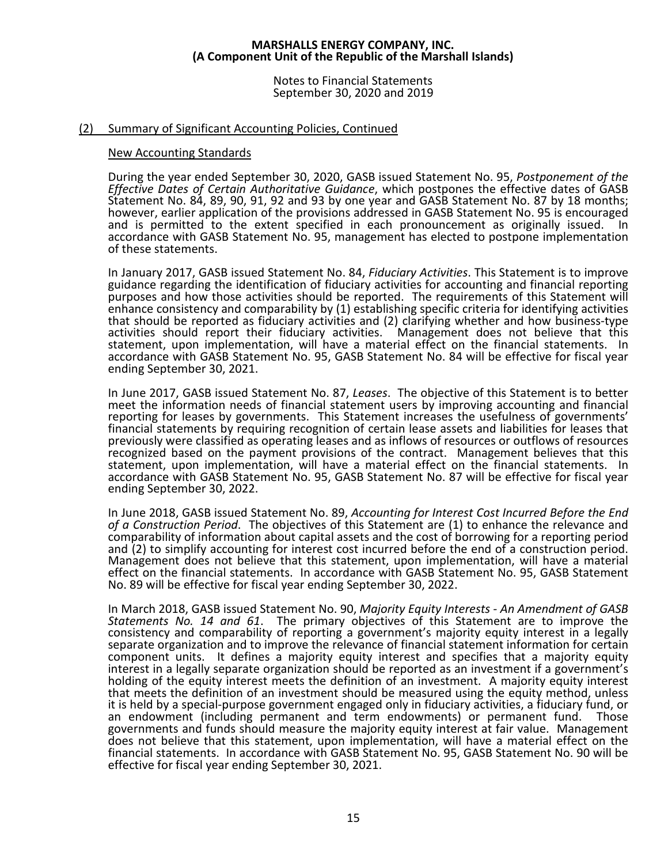Notes to Financial Statements September 30, 2020 and 2019

# (2) Summary of Significant Accounting Policies, Continued

#### New Accounting Standards

During the year ended September 30, 2020, GASB issued Statement No. 95, *Postponement of the Effective Dates of Certain Authoritative Guidance*, which postpones the effective dates of GASB Statement No. 84, 89, 90, 91, 92 and 93 by one year and GASB Statement No. 87 by 18 months; however, earlier application of the provisions addressed in GASB Statement No. 95 is encouraged and is permitted to the extent specified in each pronouncement as originally issued. In accordance with GASB Statement No. 95, management has elected to postpone implementation of these statements.

In January 2017, GASB issued Statement No. 84, *Fiduciary Activities*. This Statement is to improve guidance regarding the identification of fiduciary activities for accounting and financial reporting purposes and how those activities should be reported. The requirements of this Statement will enhance consistency and comparability by (1) establishing specific criteria for identifying activities that should be reported as fiduciary activities and (2) clarifying whether and how business-type activities should report their fiduciary activities. Management does not believe that this statement, upon implementation, will have a material effect on the financial statements. In accordance with GASB Statement No. 95, GASB Statement No. 84 will be effective for fiscal year ending September 30, 2021.

In June 2017, GASB issued Statement No. 87, *Leases*. The objective of this Statement is to better meet the information needs of financial statement users by improving accounting and financial reporting for leases by governments. This Statement increases the usefulness of governments' financial statements by requiring recognition of certain lease assets and liabilities for leases that previously were classified as operating leases and as inflows of resources or outflows of resources recognized based on the payment provisions of the contract. Management believes that this statement, upon implementation, will have a material effect on the financial statements. In accordance with GASB Statement No. 95, GASB Statement No. 87 will be effective for fiscal year ending September 30, 2022.

In June 2018, GASB issued Statement No. 89, *Accounting for Interest Cost Incurred Before the End of a Construction Period*. The objectives of this Statement are (1) to enhance the relevance and comparability of information about capital assets and the cost of borrowing for a reporting period and (2) to simplify accounting for interest cost incurred before the end of a construction period. Management does not believe that this statement, upon implementation, will have a material effect on the financial statements. In accordance with GASB Statement No. 95, GASB Statement No. 89 will be effective for fiscal year ending September 30, 2022.

In March 2018, GASB issued Statement No. 90, *Majority Equity Interests - An Amendment of GASB Statements No. 14 and 61*. The primary objectives of this Statement are to improve the consistency and comparability of reporting a government's majority equity interest in a legally separate organization and to improve the relevance of financial statement information for certain component units. It defines a majority equity interest and specifies that a majority equity interest in a legally separate organization should be reported as an investment if a government's holding of the equity interest meets the definition of an investment. A majority equity interest that meets the definition of an investment should be measured using the equity method, unless it is held by a special-purpose government engaged only in fiduciary activities, a fiduciary fund, or an endowment (including permanent and term endowments) or permanent fund. Those governments and funds should measure the majority equity interest at fair value. Management does not believe that this statement, upon implementation, will have a material effect on the financial statements. In accordance with GASB Statement No. 95, GASB Statement No. 90 will be effective for fiscal year ending September 30, 2021.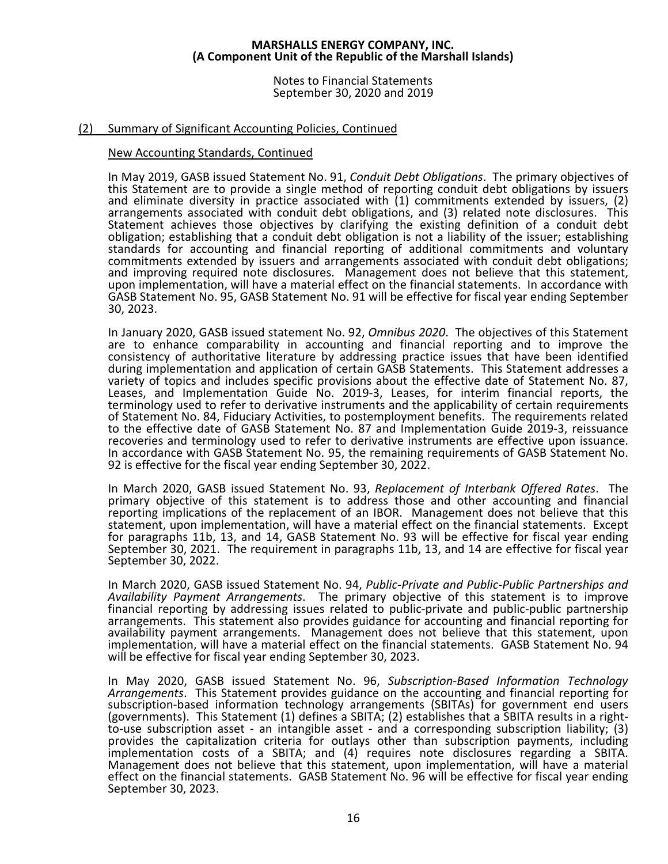Notes to Financial Statements September 30, 2020 and 2019

# (2) Summary of Significant Accounting Policies, Continued

#### New Accounting Standards, Continued

In May 2019, GASB issued Statement No. 91, *Conduit Debt Obligations*. The primary objectives of this Statement are to provide a single method of reporting conduit debt obligations by issuers and eliminate diversity in practice associated with (1) commitments extended by issuers, (2) arrangements associated with conduit debt obligations, and (3) related note disclosures. This Statement achieves those objectives by clarifying the existing definition of a conduit debt obligation; establishing that a conduit debt obligation is not a liability of the issuer; establishing standards for accounting and financial reporting of additional commitments and voluntary commitments extended by issuers and arrangements associated with conduit debt obligations; and improving required note disclosures. Management does not believe that this statement, upon implementation, will have a material effect on the financial statements. In accordance with GASB Statement No. 95, GASB Statement No. 91 will be effective for fiscal year ending September 30, 2023.

In January 2020, GASB issued statement No. 92, *Omnibus 2020*. The objectives of this Statement are to enhance comparability in accounting and financial reporting and to improve the consistency of authoritative literature by addressing practice issues that have been identified during implementation and application of certain GASB Statements. This Statement addresses a variety of topics and includes specific provisions about the effective date of Statement No. 87, Leases, and Implementation Guide No. 2019-3, Leases, for interim financial reports, the terminology used to refer to derivative instruments and the applicability of certain requirements of Statement No. 84, Fiduciary Activities, to postemployment benefits. The requirements related to the effective date of GASB Statement No. 87 and Implementation Guide 2019-3, reissuance recoveries and terminology used to refer to derivative instruments are effective upon issuance. In accordance with GASB Statement No. 95, the remaining requirements of GASB Statement No. 92 is effective for the fiscal year ending September 30, 2022.

In March 2020, GASB issued Statement No. 93, *Replacement of Interbank Offered Rates*. The primary objective of this statement is to address those and other accounting and financial reporting implications of the replacement of an IBOR. Management does not believe that this statement, upon implementation, will have a material effect on the financial statements. Except for paragraphs 11b, 13, and 14, GASB Statement No. 93 will be effective for fiscal year ending September 30, 2021. The requirement in paragraphs 11b, 13, and 14 are effective for fiscal year September 30, 2022.

In March 2020, GASB issued Statement No. 94, *Public-Private and Public-Public Partnerships and Availability Payment Arrangements*. The primary objective of this statement is to improve financial reporting by addressing issues related to public-private and public-public partnership arrangements. This statement also provides guidance for accounting and financial reporting for availability payment arrangements. Management does not believe that this statement, upon implementation, will have a material effect on the financial statements. GASB Statement No. 94 will be effective for fiscal year ending September 30, 2023.

In May 2020, GASB issued Statement No. 96, *Subscription-Based Information Technology Arrangements*. This Statement provides guidance on the accounting and financial reporting for subscription-based information technology arrangements (SBITAs) for government end users (governments). This Statement (1) defines a SBITA; (2) establishes that a SBITA results in a rightto-use subscription asset - an intangible asset - and a corresponding subscription liability; (3) provides the capitalization criteria for outlays other than subscription payments, including implementation costs of a SBITA; and (4) requires note disclosures regarding a SBITA. Management does not believe that this statement, upon implementation, will have a material effect on the financial statements. GASB Statement No. 96 will be effective for fiscal year ending September 30, 2023.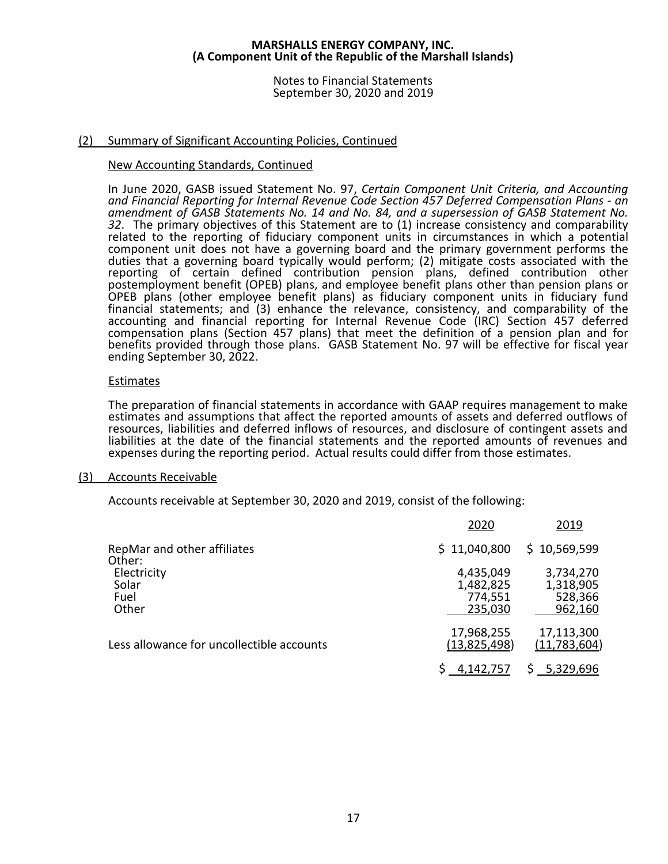Notes to Financial Statements September 30, 2020 and 2019

# (2) Summary of Significant Accounting Policies, Continued

# New Accounting Standards, Continued

In June 2020, GASB issued Statement No. 97, *Certain Component Unit Criteria, and Accounting and Financial Reporting for Internal Revenue Code Section 457 Deferred Compensation Plans - an amendment of GASB Statements No. 14 and No. 84, and a supersession of GASB Statement No. 32*. The primary objectives of this Statement are to (1) increase consistency and comparability related to the reporting of fiduciary component units in circumstances in which a potential component unit does not have a governing board and the primary government performs the duties that a governing board typically would perform; (2) mitigate costs associated with the reporting of certain defined contribution pension plans, defined contribution other postemployment benefit (OPEB) plans, and employee benefit plans other than pension plans or OPEB plans (other employee benefit plans) as fiduciary component units in fiduciary fund financial statements; and (3) enhance the relevance, consistency, and comparability of the accounting and financial reporting for Internal Revenue Code (IRC) Section 457 deferred compensation plans (Section 457 plans) that meet the definition of a pension plan and for benefits provided through those plans. GASB Statement No. 97 will be effective for fiscal year ending September 30, 2022.

#### Estimates

The preparation of financial statements in accordance with GAAP requires management to make estimates and assumptions that affect the reported amounts of assets and deferred outflows of resources, liabilities and deferred inflows of resources, and disclosure of contingent assets and liabilities at the date of the financial statements and the reported amounts of revenues and expenses during the reporting period. Actual results could differ from those estimates.

#### (3) Accounts Receivable

Accounts receivable at September 30, 2020 and 2019, consist of the following:

|                                           | 2020                                         | 2019                                         |
|-------------------------------------------|----------------------------------------------|----------------------------------------------|
| RepMar and other affiliates<br>Other:     | \$11,040,800                                 | \$10,569,599                                 |
| Electricity<br>Solar<br>Fuel<br>Other     | 4,435,049<br>1,482,825<br>774,551<br>235,030 | 3,734,270<br>1,318,905<br>528,366<br>962,160 |
| Less allowance for uncollectible accounts | 17,968,255<br>(13,825,498)                   | 17,113,300<br>(11,783,604)                   |
|                                           | <u>4,142,757</u>                             | $$ -5.329.696$                               |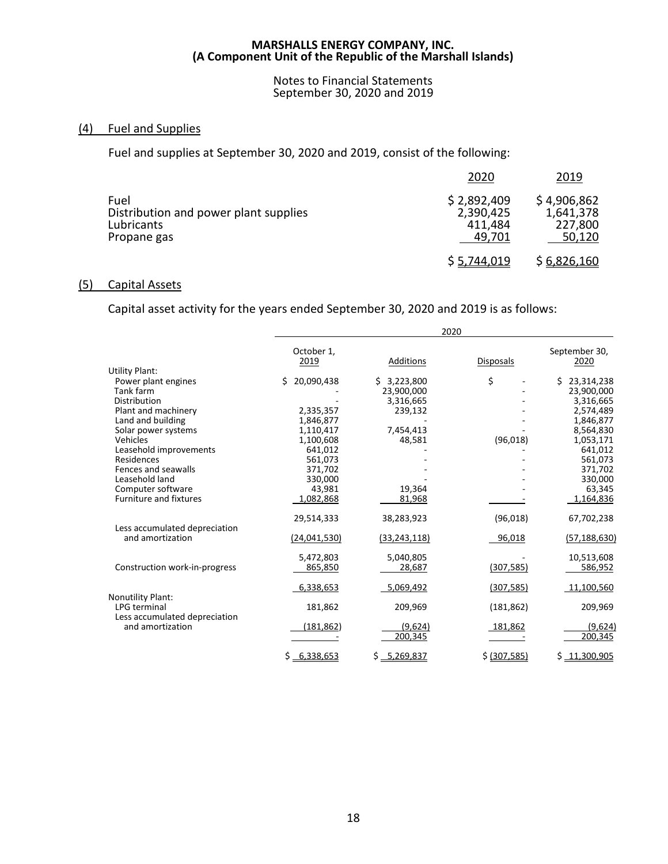Notes to Financial Statements September 30, 2020 and 2019

# (4) Fuel and Supplies

Fuel and supplies at September 30, 2020 and 2019, consist of the following:

|                                                                            | 2020                                          | 2019                                          |
|----------------------------------------------------------------------------|-----------------------------------------------|-----------------------------------------------|
| Fuel<br>Distribution and power plant supplies<br>Lubricants<br>Propane gas | \$2,892,409<br>2,390,425<br>411,484<br>49,701 | \$4,906,862<br>1,641,378<br>227,800<br>50,120 |
|                                                                            | \$5,744,019                                   | \$6,826,160                                   |

# (5) Capital Assets

Capital asset activity for the years ended September 30, 2020 and 2019 is as follows:

|                                                   |                    | 2020               |                  |                       |
|---------------------------------------------------|--------------------|--------------------|------------------|-----------------------|
|                                                   | October 1,<br>2019 | <b>Additions</b>   | <b>Disposals</b> | September 30,<br>2020 |
| <b>Utility Plant:</b>                             |                    |                    |                  |                       |
| Power plant engines                               | 20,090,438<br>Ŝ.   | 3,223,800          | \$               | Ś.<br>23,314,238      |
| Tank farm                                         |                    | 23,900,000         |                  | 23,900,000            |
| Distribution                                      |                    | 3,316,665          |                  | 3,316,665             |
| Plant and machinery                               | 2,335,357          | 239,132            |                  | 2,574,489             |
| Land and building                                 | 1,846,877          |                    |                  | 1,846,877             |
| Solar power systems                               | 1,110,417          | 7,454,413          |                  | 8,564,830             |
| Vehicles                                          | 1,100,608          | 48,581             | (96,018)         | 1,053,171             |
| Leasehold improvements                            | 641,012            |                    |                  | 641,012               |
| Residences                                        | 561,073            |                    |                  | 561,073               |
| Fences and seawalls                               | 371,702            |                    |                  | 371,702               |
| Leasehold land                                    | 330,000            |                    |                  | 330,000               |
| Computer software                                 | 43,981             | 19,364             |                  | 63,345                |
| <b>Furniture and fixtures</b>                     | 1,082,868          | 81,968             |                  | 1,164,836             |
|                                                   | 29,514,333         | 38,283,923         | (96,018)         | 67,702,238            |
| Less accumulated depreciation<br>and amortization | (24,041,530)       | (33, 243, 118)     | 96,018           | (57, 188, 630)        |
|                                                   | 5,472,803          | 5,040,805          |                  | 10,513,608            |
| Construction work-in-progress                     | 865,850            | 28,687             | (307, 585)       | 586,952               |
|                                                   | 6,338,653          | 5,069,492          | (307, 585)       | 11,100,560            |
| <b>Nonutility Plant:</b><br><b>LPG</b> terminal   | 181,862            | 209,969            | (181, 862)       | 209,969               |
| Less accumulated depreciation<br>and amortization | (181, 862)         | (9,624)<br>200,345 | 181,862          | (9,624)<br>200,345    |
|                                                   | \$6,338,653        | \$ 5,269,837       | \$ (307, 585)    | \$11,300,905          |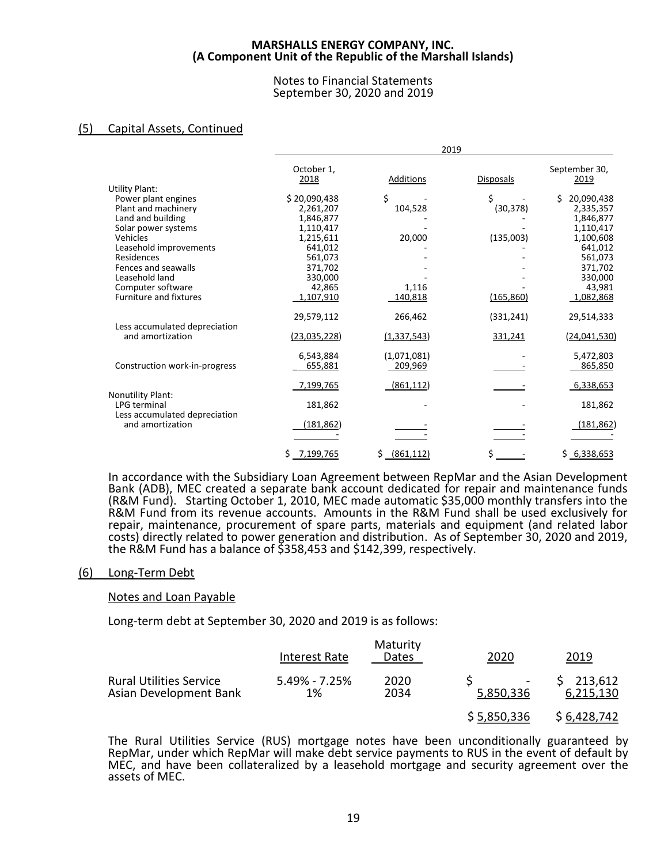#### Notes to Financial Statements September 30, 2020 and 2019

# (5) Capital Assets, Continued

|                                                   |                           | 2019          |                  |                        |
|---------------------------------------------------|---------------------------|---------------|------------------|------------------------|
|                                                   | October 1,<br>2018        | Additions     | <b>Disposals</b> | September 30,<br>2019  |
| <b>Utility Plant:</b>                             |                           |               | Ś                |                        |
| Power plant engines                               | \$20,090,438<br>2,261,207 | \$            |                  | Ś<br>20,090,438        |
| Plant and machinery<br>Land and building          | 1,846,877                 | 104,528       | (30, 378)        | 2,335,357<br>1,846,877 |
| Solar power systems                               | 1,110,417                 |               |                  |                        |
| Vehicles                                          | 1,215,611                 | 20,000        | (135,003)        | 1,110,417<br>1,100,608 |
| Leasehold improvements                            | 641,012                   |               |                  | 641,012                |
| Residences                                        | 561,073                   |               |                  | 561,073                |
| Fences and seawalls                               | 371,702                   |               |                  | 371,702                |
| Leasehold land                                    | 330,000                   |               |                  | 330,000                |
| Computer software                                 | 42,865                    | 1,116         |                  | 43,981                 |
| <b>Furniture and fixtures</b>                     | 1,107,910                 | 140,818       | (165, 860)       | 1,082,868              |
|                                                   | 29,579,112                | 266,462       | (331, 241)       | 29,514,333             |
| Less accumulated depreciation<br>and amortization | (23,035,228)              | (1, 337, 543) | 331,241          | (24,041,530)           |
|                                                   | 6,543,884                 | (1,071,081)   |                  | 5,472,803              |
| Construction work-in-progress                     | 655,881                   | 209,969       |                  | 865,850                |
|                                                   | 7,199,765                 | (861, 112)    |                  | 6,338,653              |
| <b>Nonutility Plant:</b><br><b>LPG</b> terminal   | 181,862                   |               |                  | 181,862                |
| Less accumulated depreciation<br>and amortization | (181, 862)                |               |                  | (181, 862)             |
|                                                   | 7,199,765<br>S            | (861.112)     |                  | \$6,338,653            |

In accordance with the Subsidiary Loan Agreement between RepMar and the Asian Development Bank (ADB), MEC created a separate bank account dedicated for repair and maintenance funds (R&M Fund). Starting October 1, 2010, MEC made automatic \$35,000 monthly transfers into the R&M Fund from its revenue accounts. Amounts in the R&M Fund shall be used exclusively for repair, maintenance, procurement of spare parts, materials and equipment (and related labor costs) directly related to power generation and distribution. As of September 30, 2020 and 2019, the R&M Fund has a balance of \$358,453 and \$142,399, respectively.

#### (6) Long-Term Debt

#### Notes and Loan Payable

Long-term debt at September 30, 2020 and 2019 is as follows:

|                                                          | <b>Interest Rate</b>                    | Maturity<br><b>Dates</b> | 2020         | 2019                   |
|----------------------------------------------------------|-----------------------------------------|--------------------------|--------------|------------------------|
| <b>Rural Utilities Service</b><br>Asian Development Bank | $5.49\% - 7.25\%$<br>2020<br>2034<br>1% |                          | 5,850,336    | \$213,612<br>6,215,130 |
|                                                          |                                         |                          | \$ 5,850,336 | \$6,428,742            |

The Rural Utilities Service (RUS) mortgage notes have been unconditionally guaranteed by RepMar, under which RepMar will make debt service payments to RUS in the event of default by MEC, and have been collateralized by a leasehold mortgage and security agreement over the assets of MEC.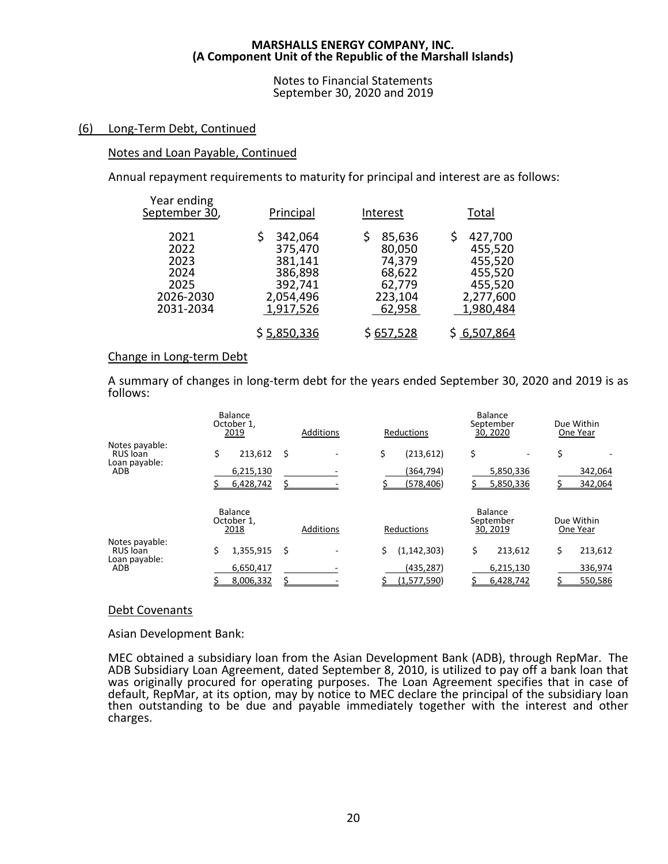Notes to Financial Statements September 30, 2020 and 2019

# (6) Long-Term Debt, Continued

#### Notes and Loan Payable, Continued

Annual repayment requirements to maturity for principal and interest are as follows:

| Year ending<br>September 30,                                   | Principal                                                                     | Interest                                                            | Total                                                                         |
|----------------------------------------------------------------|-------------------------------------------------------------------------------|---------------------------------------------------------------------|-------------------------------------------------------------------------------|
| 2021<br>2022<br>2023<br>2024<br>2025<br>2026-2030<br>2031-2034 | 342,064<br>375,470<br>381,141<br>386,898<br>392,741<br>2,054,496<br>1,917,526 | 85,636<br>80,050<br>74,379<br>68,622<br>62,779<br>223,104<br>62,958 | 427,700<br>455,520<br>455,520<br>455,520<br>455,520<br>2,277,600<br>1,980,484 |
|                                                                | \$5,850,336                                                                   | \$ <u>657,528</u>                                                   | \$6,507,864                                                                   |

#### Change in Long-term Debt

A summary of changes in long-term debt for the years ended September 30, 2020 and 2019 is as follows:

|                                                           | Balance<br>October 1,<br>2019           | <b>Additions</b> | <b>Reductions</b>                           | Balance<br>September<br>30, 2020 | Due Within<br>One Year |
|-----------------------------------------------------------|-----------------------------------------|------------------|---------------------------------------------|----------------------------------|------------------------|
| Notes payable:<br>RUS loan<br>Loan payable:<br><b>ADB</b> | \$<br>213,612<br>6,215,130<br>6,428,742 | \$               | \$<br>(213, 612)<br>(364,794)<br>(578, 406) | \$<br>5,850,336<br>5,850,336     | 342,064<br>342,064     |
|                                                           | Balance<br>October 1.<br>2018           | <b>Additions</b> | <b>Reductions</b>                           | Balance<br>September<br>30, 2019 | Due Within<br>One Year |
| Notes payable:<br><b>RUS</b> loan                         | \$<br>1,355,915                         | \$               | (1, 142, 303)<br>\$                         | \$<br>213,612                    | \$<br>213,612          |
| Loan payable:<br><b>ADB</b>                               | 6,650,417<br>8,006,332                  |                  | (435,287)<br>(1,577,590)                    | 6,215,130<br>6,428,742           | 336,974<br>550,586     |

#### Debt Covenants

Asian Development Bank:

MEC obtained a subsidiary loan from the Asian Development Bank (ADB), through RepMar. The ADB Subsidiary Loan Agreement, dated September 8, 2010, is utilized to pay off a bank loan that was originally procured for operating purposes. The Loan Agreement specifies that in case of default, RepMar, at its option, may by notice to MEC declare the principal of the subsidiary loan then outstanding to be due and payable immediately together with the interest and other charges.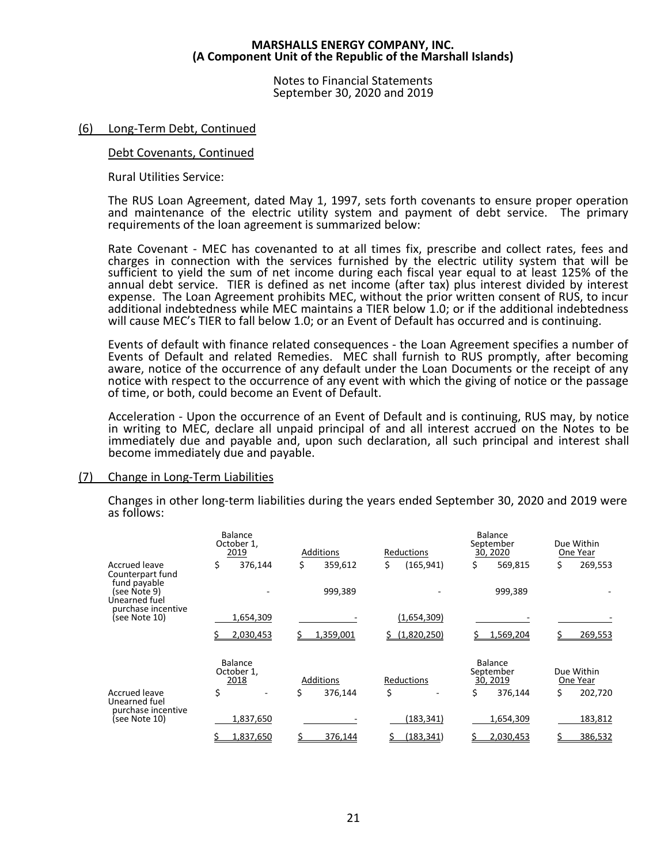Notes to Financial Statements September 30, 2020 and 2019

# (6) Long-Term Debt, Continued

#### Debt Covenants, Continued

Rural Utilities Service:

The RUS Loan Agreement, dated May 1, 1997, sets forth covenants to ensure proper operation and maintenance of the electric utility system and payment of debt service. The primary requirements of the loan agreement is summarized below:

Rate Covenant - MEC has covenanted to at all times fix, prescribe and collect rates, fees and charges in connection with the services furnished by the electric utility system that will be sufficient to yield the sum of net income during each fiscal year equal to at least 125% of the annual debt service. TIER is defined as net income (after tax) plus interest divided by interest expense. The Loan Agreement prohibits MEC, without the prior written consent of RUS, to incur additional indebtedness while MEC maintains a TIER below 1.0; or if the additional indebtedness will cause MEC's TIER to fall below 1.0; or an Event of Default has occurred and is continuing.

Events of default with finance related consequences - the Loan Agreement specifies a number of Events of Default and related Remedies. MEC shall furnish to RUS promptly, after becoming aware, notice of the occurrence of any default under the Loan Documents or the receipt of any notice with respect to the occurrence of any event with which the giving of notice or the passage of time, or both, could become an Event of Default.

Acceleration - Upon the occurrence of an Event of Default and is continuing, RUS may, by notice in writing to MEC, declare all unpaid principal of and all interest accrued on the Notes to be immediately due and payable and, upon such declaration, all such principal and interest shall become immediately due and payable.

#### (7) Change in Long-Term Liabilities

Changes in other long-term liabilities during the years ended September 30, 2020 and 2019 were as follows:

|                                                          | <b>Balance</b><br>October 1,<br>2019 | Additions     | Reductions       | <b>Balance</b><br>September<br>30, 2020 | Due Within<br>One Year |
|----------------------------------------------------------|--------------------------------------|---------------|------------------|-----------------------------------------|------------------------|
| <b>Accrued leave</b><br>Counterpart fund<br>fund payable | \$<br>376,144                        | \$<br>359,612 | \$<br>(165, 941) | \$<br>569,815                           | \$<br>269,553          |
| (see Note 9)<br>Unearned fuel<br>purchase incentive      |                                      | 999,389       |                  | 999,389                                 |                        |
| (see Note 10)                                            | 1,654,309                            |               | (1,654,309)      |                                         |                        |
|                                                          | 2,030,453                            | 1,359,001     | (1,820,250)      | 1,569,204                               | 269,553                |
|                                                          | <b>Balance</b><br>October 1,<br>2018 | Additions     | Reductions       | <b>Balance</b><br>September<br>30, 2019 | Due Within<br>One Year |
| Accrued leave<br>Unearned fuel<br>purchase incentive     | \$                                   | \$<br>376,144 | \$               | \$<br>376,144                           | \$<br>202,720          |
| (see Note 10)                                            | 1,837,650                            |               | (183, 341)       | 1,654,309                               | 183,812                |
|                                                          | 1,837,650                            | 376,144       | (183, 341)       | 2,030,453                               | 386,532                |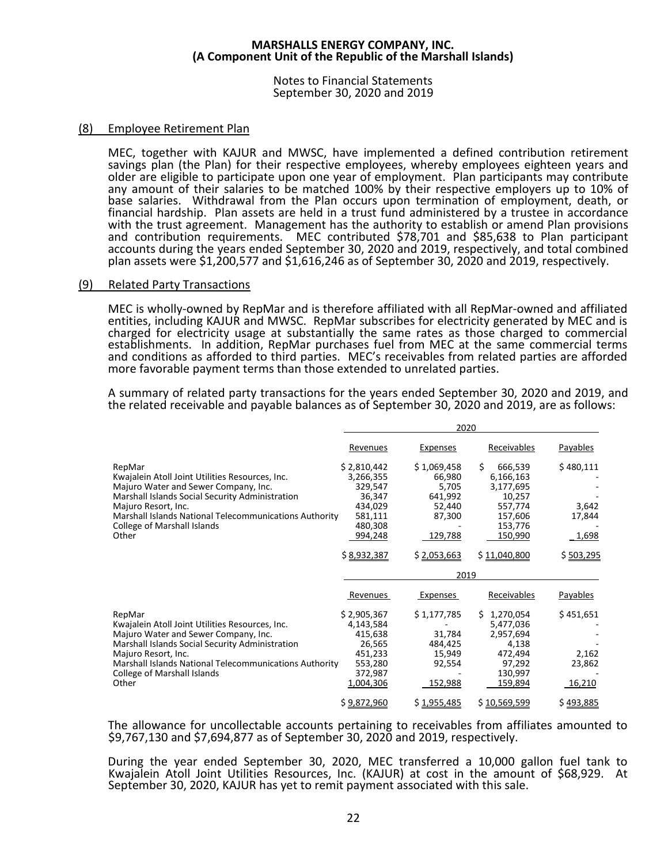Notes to Financial Statements September 30, 2020 and 2019

#### (8) Employee Retirement Plan

MEC, together with KAJUR and MWSC, have implemented a defined contribution retirement savings plan (the Plan) for their respective employees, whereby employees eighteen years and older are eligible to participate upon one year of employment. Plan participants may contribute any amount of their salaries to be matched 100% by their respective employers up to 10% of base salaries. Withdrawal from the Plan occurs upon termination of employment, death, or financial hardship. Plan assets are held in a trust fund administered by a trustee in accordance with the trust agreement. Management has the authority to establish or amend Plan provisions and contribution requirements. MEC contributed \$78,701 and \$85,638 to Plan participant accounts during the years ended September 30, 2020 and 2019, respectively, and total combined plan assets were \$1,200,577 and \$1,616,246 as of September 30, 2020 and 2019, respectively.

#### (9) Related Party Transactions

MEC is wholly-owned by RepMar and is therefore affiliated with all RepMar-owned and affiliated entities, including KAJUR and MWSC. RepMar subscribes for electricity generated by MEC and is charged for electricity usage at substantially the same rates as those charged to commercial establishments. In addition, RepMar purchases fuel from MEC at the same commercial terms and conditions as afforded to third parties. MEC's receivables from related parties are afforded more favorable payment terms than those extended to unrelated parties.

A summary of related party transactions for the years ended September 30, 2020 and 2019, and the related receivable and payable balances as of September 30, 2020 and 2019, are as follows:

|                                                        |             | 2020        |                |           |
|--------------------------------------------------------|-------------|-------------|----------------|-----------|
|                                                        | Revenues    | Expenses    | Receivables    | Payables  |
| RepMar                                                 | \$2,810,442 | \$1,069,458 | Ś<br>666,539   | \$480,111 |
| Kwajalein Atoll Joint Utilities Resources, Inc.        | 3,266,355   | 66,980      | 6,166,163      |           |
| Majuro Water and Sewer Company, Inc.                   | 329,547     | 5,705       | 3,177,695      |           |
| Marshall Islands Social Security Administration        | 36,347      | 641,992     | 10,257         |           |
| Majuro Resort, Inc.                                    | 434,029     | 52,440      | 557,774        | 3,642     |
| Marshall Islands National Telecommunications Authority | 581,111     | 87,300      | 157,606        | 17,844    |
| College of Marshall Islands                            | 480,308     |             | 153,776        |           |
| Other                                                  | 994,248     | 129,788     | 150,990        | 1,698     |
|                                                        | \$8,932,387 | \$2,053,663 | \$11,040,800   | \$503,295 |
|                                                        |             | 2019        |                |           |
|                                                        | Revenues    | Expenses    | Receivables    | Payables  |
| RepMar                                                 | \$2,905,367 | \$1,177,785 | 1,270,054<br>S | \$451,651 |
| Kwajalein Atoll Joint Utilities Resources, Inc.        | 4,143,584   |             | 5,477,036      |           |
| Majuro Water and Sewer Company, Inc.                   | 415,638     | 31.784      | 2,957,694      |           |
| Marshall Islands Social Security Administration        | 26,565      | 484,425     | 4.138          |           |
| Majuro Resort, Inc.                                    | 451,233     | 15,949      | 472,494        | 2,162     |
| Marshall Islands National Telecommunications Authority | 553,280     | 92,554      | 97,292         | 23,862    |
| College of Marshall Islands                            | 372,987     |             | 130,997        |           |
| Other                                                  | 1.004.306   | 152,988     | 159,894        | 16,210    |
|                                                        | \$9,872,960 | \$1,955,485 | \$10,569,599   | \$493,885 |

The allowance for uncollectable accounts pertaining to receivables from affiliates amounted to \$9,767,130 and \$7,694,877 as of September 30, 2020 and 2019, respectively.

During the year ended September 30, 2020, MEC transferred a 10,000 gallon fuel tank to Kwajalein Atoll Joint Utilities Resources, Inc. (KAJUR) at cost in the amount of \$68,929. At September 30, 2020, KAJUR has yet to remit payment associated with this sale.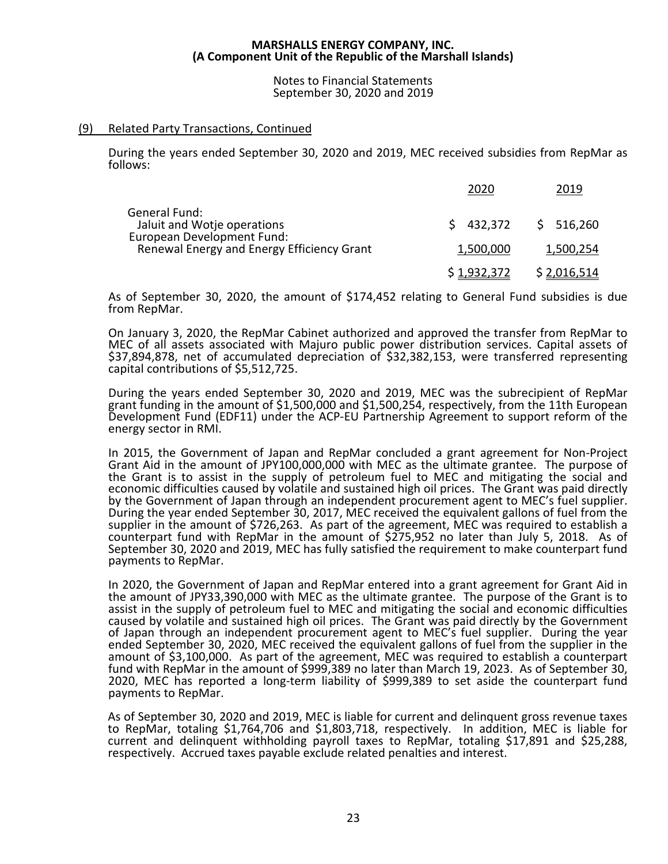Notes to Financial Statements September 30, 2020 and 2019

# (9) Related Party Transactions, Continued

During the years ended September 30, 2020 and 2019, MEC received subsidies from RepMar as follows:

|                                                                                                                          | 2020                 | 2019                   |
|--------------------------------------------------------------------------------------------------------------------------|----------------------|------------------------|
| General Fund:<br>Jaluit and Wotje operations<br>European Development Fund:<br>Renewal Energy and Energy Efficiency Grant | 432,372<br>1,500,000 | \$516,260<br>1,500,254 |
|                                                                                                                          | \$1,932,372          | \$2,016,514            |

As of September 30, 2020, the amount of \$174,452 relating to General Fund subsidies is due from RepMar.

On January 3, 2020, the RepMar Cabinet authorized and approved the transfer from RepMar to MEC of all assets of<br>MEC of all assets associated with Majuro public power distribution services. Capital assets of \$37,894,878, net of accumulated depreciation of \$32,382,153, were transferred representing capital contributions of \$5,512,725.

During the years ended September 30, 2020 and 2019, MEC was the subrecipient of RepMar grant funding in the amount of \$1,500,000 and \$1,500,254, respectively, from the 11th European Development Fund (EDF11) under the ACP-EU Partnership Agreement to support reform of the energy sector in RMI.

In 2015, the Government of Japan and RepMar concluded a grant agreement for Non-Project Grant Aid in the amount of JPY100,000,000 with MEC as the ultimate grantee. The purpose of the Grant is to assist in the supply of petroleum fuel to MEC and mitigating the social and economic difficulties caused by volatile and sustained high oil prices. The Grant was paid directly by the Government of Japan through an independent procurement agent to MEC's fuel supplier. During the year ended September 30, 2017, MEC received the equivalent gallons of fuel from the supplier in the amount of \$726,263. As part of the agreement, MEC was required to establish a counterpart fund with RepMar in the amount of \$275,952 no later than July 5, 2018. As of September 30, 2020 and 2019, MEC has fully satisfied the requirement to make counterpart fund payments to RepMar.

In 2020, the Government of Japan and RepMar entered into a grant agreement for Grant Aid in the amount of JPY33,390,000 with MEC as the ultimate grantee. The purpose of the Grant is to assist in the supply of petroleum fuel to MEC and mitigating the social and economic difficulties caused by volatile and sustained high oil prices. The Grant was paid directly by the Government of Japan through an independent procurement agent to MEC's fuel supplier. During the year ended September 30, 2020, MEC received the equivalent gallons of fuel from the supplier in the amount of \$3,100,000. As part of the agreement, MEC was required to establish a counterpart fund with RepMar in the amount of \$ 2020, MEC has reported a long-term liability of \$999,389 to set aside the counterpart fund payments to RepMar.

As of September 30, 2020 and 2019, MEC is liable for current and delinquent gross revenue taxes to RepMar, totaling \$1,764,706 and \$1,803,718, respectively. In addition, MEC is liable for current and delinquent withholding payroll taxes to RepMar, totaling \$17,891 and \$25,288, respectively. Accrued taxes payable exclude related penalties and interest.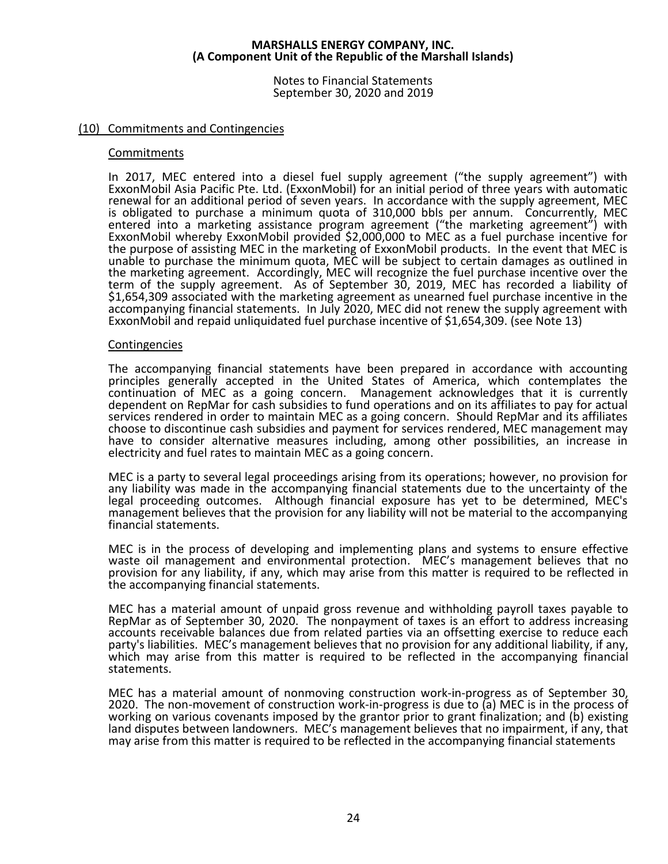Notes to Financial Statements September 30, 2020 and 2019

#### (10) Commitments and Contingencies

#### Commitments

In 2017, MEC entered into a diesel fuel supply agreement ("the supply agreement") with ExxonMobil Asia Pacific Pte. Ltd. (ExxonMobil) for an initial period of three years with automatic renewal for an additional period of seven years. In accordance with the supply agreement, MEC is obligated to purchase a minimum quota of 310,000 bbls per annum. Concurrently, MEC entered into a marketing assistance program agreement ("the marketing agreement") with ExxonMobil whereby ExxonMobil provided \$2,000,000 to MEC as a fuel purchase incentive for the purpose of assisting MEC in the marketing of ExxonMobil products. In the event that MEC is unable to purchase the minimum quota, MEC will be subject to certain damages as outlined in the marketing agreement. Accordingly, MEC will recognize the fuel purchase incentive over the term of the supply agreement. As of September 30, 2019, MEC has recorded a liability of \$1,654,309 associated with the marketing agreement as unearned fuel purchase incentive in the accompanying financial statements. In July 2020, MEC did not renew the supply agreement with ExxonMobil and repaid unliquidated fuel purchase incentive of \$1,654,309. (see Note 13)

#### **Contingencies**

The accompanying financial statements have been prepared in accordance with accounting principles generally accepted in the United States of America, which contemplates the continuation of MEC as a going concern. Management acknowledges that it is currently dependent on RepMar for cash subsidies to fund operations and on its affiliates to pay for actual services rendered in order to maintain MEC as a going concern. Should RepMar and its affiliates choose to discontinue cash subsidies and payment for services rendered, MEC management may have to consider alternative measures including, among other possibilities, an increase in electricity and fuel rates to maintain MEC as a going concern.

MEC is a party to several legal proceedings arising from its operations; however, no provision for any liability was made in the accompanying financial statements due to the uncertainty of the legal proceeding outcomes. Although financial exposure has yet to be determined, MEC's management believes that the provision for any liability will not be material to the accompanying financial statements.

MEC is in the process of developing and implementing plans and systems to ensure effective waste oil management and environmental protection. MEC's management believes that no provision for any liability, if any, which may arise from this matter is required to be reflected in the accompanying financial statements.

MEC has a material amount of unpaid gross revenue and withholding payroll taxes payable to RepMar as of September 30, 2020. The nonpayment of taxes is an effort to address increasing accounts receivable balances due from related parties via an offsetting exercise to reduce each party's liabilities. MEC's management believes that no provision for any additional liability, if any, which may arise from this matter is required to be reflected in the accompanying financial statements.

MEC has a material amount of nonmoving construction work-in-progress as of September 30, 2020. The non-movement of construction work-in-progress is due to (a) MEC is in the process of working on various covenants imposed by the grantor prior to grant finalization; and (b) existing land disputes between landowners. MEC's management believes that no impairment, if any, that may arise from this matter is required to be reflected in the accompanying financial statements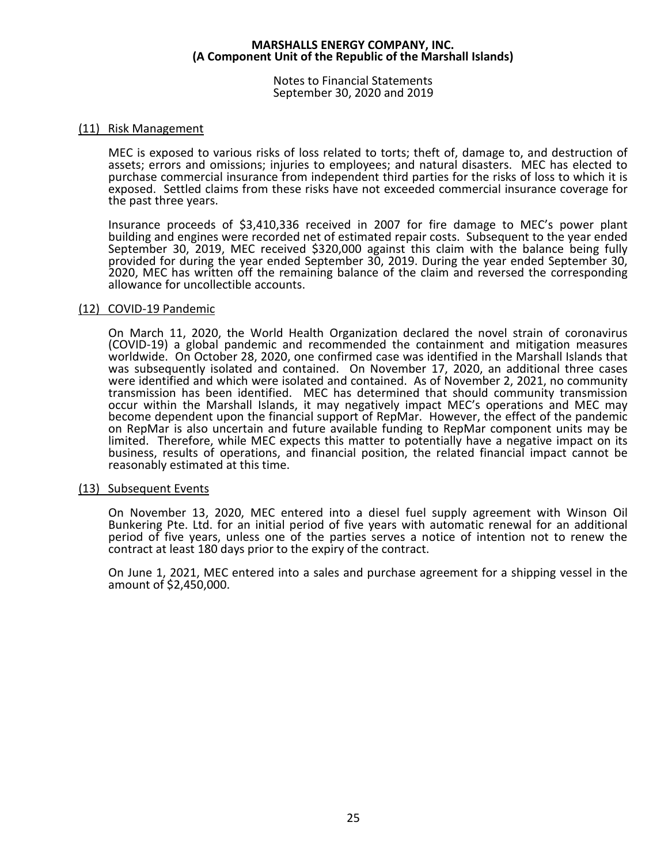Notes to Financial Statements September 30, 2020 and 2019

#### (11) Risk Management

MEC is exposed to various risks of loss related to torts; theft of, damage to, and destruction of assets; errors and omissions; injuries to employees; and natural disasters. MEC has elected to purchase commercial insurance from independent third parties for the risks of loss to which it is exposed. Settled claims from these risks have not exceeded commercial insurance coverage for the past three years.

Insurance proceeds of \$3,410,336 received in 2007 for fire damage to MEC's power plant building and engines were recorded net of estimated repair costs. Subsequent to the year ended September 30, 2019, MEC received \$320,000 against this claim with the balance being fully provided for during the year ended September 30, 2019. During the year ended September 30, 2020, MEC has written off the remaining balance of the claim and reversed the corresponding allowance for uncollectible accounts.

#### (12) COVID-19 Pandemic

On March 11, 2020, the World Health Organization declared the novel strain of coronavirus (COVID-19) a global pandemic and recommended the containment and mitigation measures worldwide. On October 28, 2020, one confirmed case was identified in the Marshall Islands that was subsequently isolated and contained. On November 17, 2020, an additional three cases were identified and which were isolated and contained. As of November 2, 2021, no community transmission has been identified. MEC has determined that should community transmission occur within the Marshall Islands, it may negatively impact MEC's operations and MEC may become dependent upon the financial support of RepMar. However, the effect of the pandemic on RepMar is also uncertain and future available funding to RepMar component units may be limited. Therefore, while MEC expects this matter to potentially have a negative impact on its business, results of operations, and financial position, the related financial impact cannot be reasonably estimated at this time.

#### (13) Subsequent Events

On November 13, 2020, MEC entered into a diesel fuel supply agreement with Winson Oil Bunkering Pte. Ltd. for an initial period of five years with automatic renewal for an additional period of five years, unless one of the parties serves a notice of intention not to renew the contract at least 180 days prior to the expiry of the contract.

On June 1, 2021, MEC entered into a sales and purchase agreement for a shipping vessel in the amount of \$2,450,000.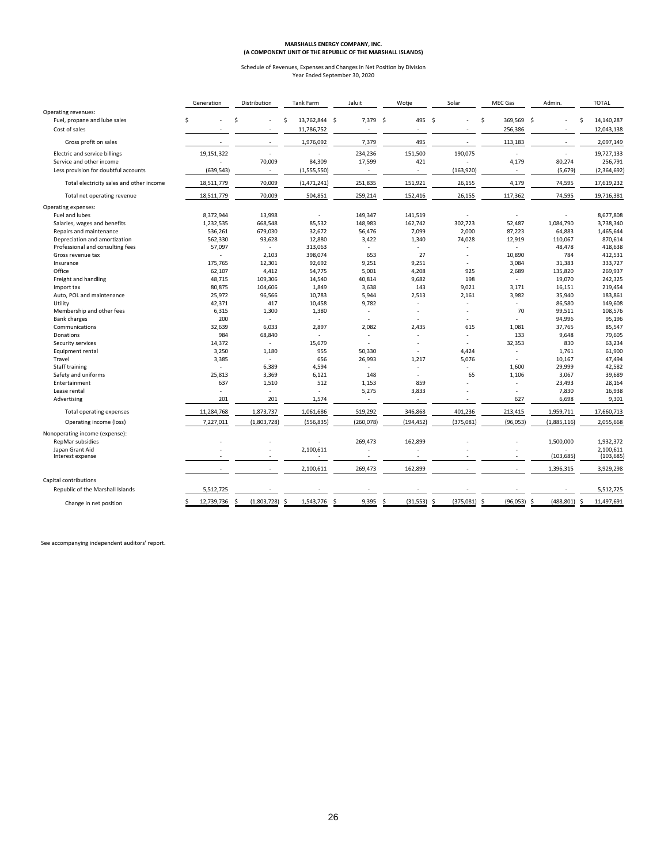# Schedule of Revenues, Expenses and Changes in Net Position by Division Year Ended September 30, 2020

|                                          | Generation               | Distribution                | Tank Farm          | Jaluit         | Wotje                    | Solar                    | MEC Gas                  | Admin.                   | <b>TOTAL</b>     |
|------------------------------------------|--------------------------|-----------------------------|--------------------|----------------|--------------------------|--------------------------|--------------------------|--------------------------|------------------|
| Operating revenues:                      |                          |                             |                    |                |                          |                          |                          |                          |                  |
| Fuel, propane and lube sales             | Ś                        | Ś<br>×,                     | Ś<br>13.762.844 \$ | 7,379 \$       | 495                      | S.                       | \$<br>369.569 \$         |                          | Ś<br>14,140,287  |
| Cost of sales                            |                          |                             | 11,786,752         |                | $\overline{\phantom{a}}$ |                          | 256,386                  |                          | 12,043,138       |
| Gross profit on sales                    | $\overline{\phantom{a}}$ | $\sim$                      | 1,976,092          | 7,379          | 495                      | $\overline{\phantom{a}}$ | 113,183                  | $\overline{\phantom{a}}$ | 2,097,149        |
|                                          |                          |                             |                    |                |                          |                          |                          |                          |                  |
| Electric and service billings            | 19,151,322               | ÷.                          |                    | 234,236        | 151,500                  | 190,075                  | ٠                        | $\overline{a}$           | 19,727,133       |
| Service and other income                 |                          | 70,009                      | 84,309             | 17,599         | 421                      |                          | 4,179                    | 80,274                   | 256,791          |
| Less provision for doubtful accounts     | (639, 543)               | $\sim$                      | (1,555,550)        |                |                          | (163,920)                | $\overline{\phantom{a}}$ | (5,679)                  | (2,364,692)      |
| Total electricity sales and other income | 18,511,779               | 70,009                      | (1,471,241)        | 251,835        | 151,921                  | 26,155                   | 4,179                    | 74,595                   | 17,619,232       |
| Total net operating revenue              | 18,511,779               | 70,009                      | 504,851            | 259,214        | 152,416                  | 26,155                   | 117,362                  | 74,595                   | 19,716,381       |
| Operating expenses:                      |                          |                             |                    |                |                          |                          |                          |                          |                  |
| Fuel and lubes                           | 8,372,944                | 13,998                      |                    | 149,347        | 141,519                  |                          |                          |                          | 8,677,808        |
| Salaries, wages and benefits             | 1,232,535                | 668,548                     | 85,532             | 148,983        | 162,742                  | 302,723                  | 52,487                   | 1,084,790                | 3,738,340        |
| Repairs and maintenance                  | 536,261                  | 679,030                     | 32,672             | 56,476         | 7,099                    | 2,000                    | 87,223                   | 64,883                   | 1,465,644        |
| Depreciation and amortization            | 562,330                  | 93,628                      | 12,880             | 3,422          | 1,340                    | 74,028                   | 12,919                   | 110,067                  | 870,614          |
| Professional and consulting fees         | 57,097                   | ×.                          | 313,063            |                |                          |                          |                          | 48,478                   | 418,638          |
| Gross revenue tax                        |                          | 2,103                       | 398,074            | 653            | 27                       |                          | 10,890                   | 784                      | 412,531          |
| Insurance                                | 175,765                  | 12,301                      | 92,692             | 9,251          | 9,251                    |                          | 3,084                    | 31,383                   | 333,727          |
| Office                                   | 62,107                   | 4,412                       | 54,775             | 5,001          | 4,208                    | 925                      | 2,689                    | 135,820                  | 269,937          |
| Freight and handling                     | 48,715                   | 109,306                     | 14,540             | 40,814         | 9,682                    | 198                      | ÷.                       | 19,070                   | 242,325          |
| Import tax                               | 80,875                   | 104,606                     | 1,849              | 3,638          | 143                      | 9,021                    | 3,171                    | 16,151                   | 219,454          |
| Auto, POL and maintenance                | 25,972                   | 96,566                      | 10,783             | 5,944          | 2,513                    | 2,161                    | 3,982                    | 35,940                   | 183,861          |
| Utility                                  | 42,371                   | 417                         | 10,458             | 9,782          |                          |                          | ٠.                       | 86,580                   | 149,608          |
| Membership and other fees                | 6,315                    | 1,300                       | 1,380              |                |                          |                          | 70                       | 99,511                   | 108,576          |
| Bank charges                             | 200                      | ÷.                          |                    |                |                          |                          | $\overline{a}$           | 94,996                   | 95,196           |
| Communications                           | 32,639                   | 6,033                       | 2,897              | 2,082          | 2,435                    | 615                      | 1,081                    | 37,765                   | 85,547           |
| Donations                                | 984                      | 68,840                      |                    | ÷              |                          | ÷                        | 133                      | 9,648                    | 79,605           |
|                                          | 14,372                   | $\overline{\phantom{a}}$    | 15,679             | ÷.             |                          | $\overline{\phantom{a}}$ | 32,353                   | 830                      | 63,234           |
| Security services                        | 3,250                    | 1,180                       | 955                | 50,330         |                          | 4.424                    | ٠                        | 1,761                    | 61,900           |
| Equipment rental                         |                          | ÷.                          |                    |                |                          |                          | $\overline{\phantom{a}}$ |                          |                  |
| Travel                                   | 3,385                    |                             | 656                | 26,993         | 1,217                    | 5,076                    |                          | 10,167                   | 47,494           |
| Staff training                           |                          | 6,389                       | 4,594              |                |                          |                          | 1,600                    | 29,999                   | 42,582           |
| Safety and uniforms                      | 25,813                   | 3,369                       | 6,121              | 148            |                          | 65                       | 1,106                    | 3,067                    | 39,689           |
| Entertainment                            | 637                      | 1,510                       | 512                | 1,153          | 859                      |                          | ä,                       | 23,493                   | 28,164           |
| Lease rental                             | ä,                       | $\mathcal{L}_{\mathcal{A}}$ |                    | 5,275          | 3,833                    |                          | ä,                       | 7,830                    | 16,938           |
| Advertising                              | 201                      | 201                         | 1,574              | $\overline{a}$ | ×.                       |                          | 627                      | 6,698                    | 9,301            |
| <b>Total operating expenses</b>          | 11,284,768               | 1,873,737                   | 1,061,686          | 519,292        | 346,868                  | 401,236                  | 213,415                  | 1,959,711                | 17,660,713       |
| Operating income (loss)                  | 7,227,011                | (1,803,728)                 | (556, 835)         | (260, 078)     | (194, 452)               | (375,081)                | (96, 053)                | (1,885,116)              | 2,055,668        |
| Nonoperating income (expense):           |                          |                             |                    |                |                          |                          |                          |                          |                  |
| RepMar subsidies                         |                          |                             |                    | 269,473        | 162,899                  |                          |                          | 1,500,000                | 1,932,372        |
| Japan Grant Aid                          |                          |                             | 2,100,611          |                |                          |                          |                          |                          | 2,100,611        |
| Interest expense                         |                          |                             |                    | ٠              | $\sim$                   |                          |                          | (103, 685)               | (103, 685)       |
|                                          |                          |                             | 2,100,611          | 269,473        | 162,899                  |                          |                          | 1,396,315                | 3,929,298        |
| Capital contributions                    |                          |                             |                    |                |                          |                          |                          |                          |                  |
| Republic of the Marshall Islands         | 5,512,725                |                             |                    |                |                          |                          |                          |                          | 5,512,725        |
| Change in net position                   | 12,739,736<br>Ś          | (1,803,728)<br>\$           | 1,543,776<br>Ś     | \$<br>9,395    | (31, 553)<br>Ŝ.          | (375,081)<br>Ŝ.          | \$<br>(96, 053)          | \$<br>(488, 801)         | \$<br>11,497,691 |
|                                          |                          |                             |                    |                |                          |                          |                          |                          |                  |

See accompanying independent auditors' report.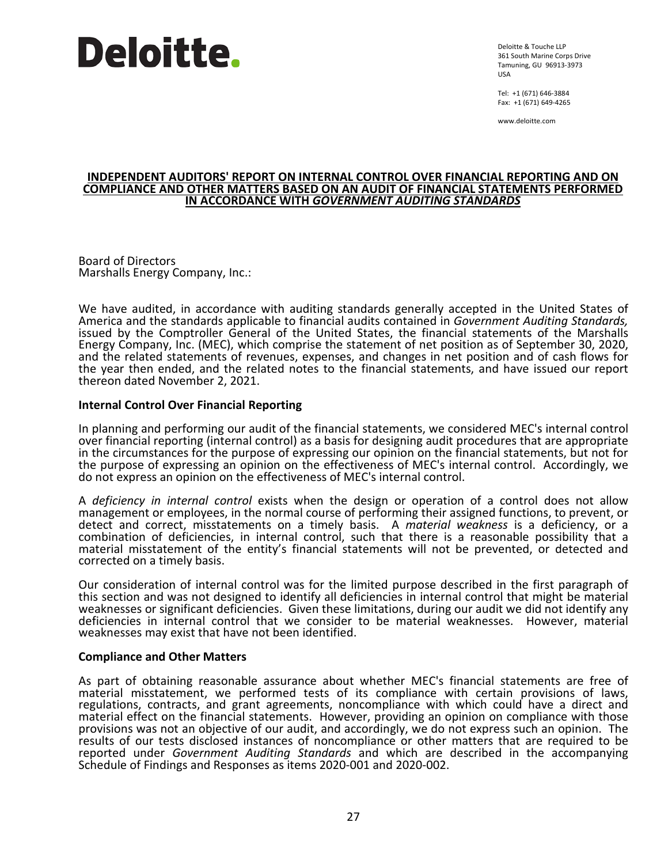

Deloitte & Touche LLP 361 South Marine Corps Drive Tamuning, GU 96913-3973 USA

Tel: +1 (671) 646-3884 Fax: +1 (671) 649-4265

www.deloitte.com

#### **INDEPENDENT AUDITORS' REPORT ON INTERNAL CONTROL OVER FINANCIAL REPORTING AND ON COMPLIANCE AND OTHER MATTERS BASED ON AN AUDIT OF FINANCIAL STATEMENTS PERFORMED IN ACCORDANCE WITH** *GOVERNMENT AUDITING STANDARDS*

Board of Directors Marshalls Energy Company, Inc.:

We have audited, in accordance with auditing standards generally accepted in the United States of America and the standards, and the standards, issued by the Comptroller General of the United States, the financial statements of the Marshalls<br>Energy Company, Inc. (MEC), which comprise the statement of net position as of September 30, 2020, and the related statements of revenues, expenses, and changes in net position and of cash flows for the year then ended, and the related notes to the financial statements, and have issued our report thereon dated November 2, 2021.

#### **Internal Control Over Financial Reporting**

In planning and performing our audit of the financial statements, we considered MEC's internal control over financial reporting (internal control) as a basis for designing audit procedures that are appropriate in the circumstances for the purpose of expressing our opinion on the financial statements, but not for the purpose of expressing an opinion on the effectiveness of MEC's internal control. Accordingly, we do not express an opinion on the effectiveness of MEC's internal control.

A *deficiency in internal control* exists when the design or operation of a control does not allow management or employees, in the normal course of performing their assigned functions, to prevent, or detect and correct, misstatements on a timely basis. A *material weakness* is a deficiency, or a combination of deficiencies, in internal control, such that there is a reasonable possibility that a material misstatement of the entity's financial statements will not be prevented, or detected and corrected on a timely basis.

Our consideration of internal control was for the limited purpose described in the first paragraph of this section and was not designed to identify all deficiencies in internal control that might be material weaknesses or significant deficiencies. Given these limitations, during our audit we did not identify any deficiencies in internal control that we consider to be material weaknesses. However, material weaknesses may exist that have not been identified.

#### **Compliance and Other Matters**

As part of obtaining reasonable assurance about whether MEC's financial statements are free of material misstatement, we performed tests of its compliance with certain provisions of laws, regulations, contracts, and grant agreements, noncompliance with which could have a direct and material effect on the financial statements. However, providing an opinion on compliance with those provisions was not an objective of our audit, and accordingly, we do not express such an opinion. The results of our tests disclosed instances of noncompliance or other matters that are required to be reported under *Government Auditing Standards* and which are described in the accompanying Schedule of Findings and Responses as items 2020-001 and 2020-002.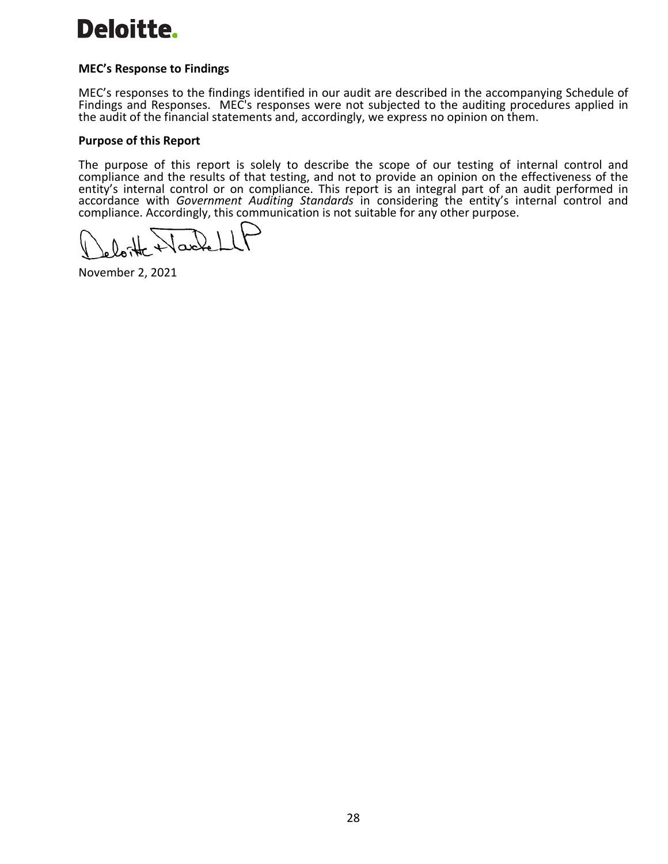# **Deloitte.**

# **MEC's Response to Findings**

MEC's responses to the findings identified in our audit are described in the accompanying Schedule of Findings and Responses. MEC's responses were not subjected to the auditing procedures applied in the audit of the financial statements and, accordingly, we express no opinion on them.

# **Purpose of this Report**

The purpose of this report is solely to describe the scope of our testing of internal control and compliance and the results of that testing, and not to provide an opinion on the effectiveness of the entity's internal control or on compliance. This report is an integral part of an audit performed in accordance with *Government Auditing Standards* in considering the entity's internal control and compliance. Accordingly, this communication is not suitable for any other purpose.

November 2, 2021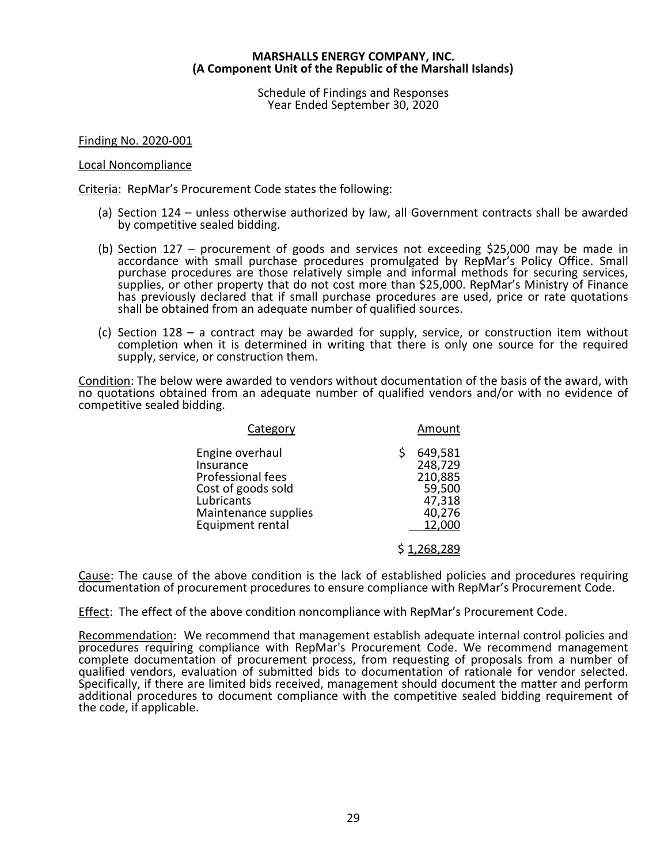Schedule of Findings and Responses Year Ended September 30, 2020

Finding No. 2020-001

# Local Noncompliance

Criteria: RepMar's Procurement Code states the following:

- (a) Section 124 unless otherwise authorized by law, all Government contracts shall be awarded by competitive sealed bidding.
- (b) Section 127 procurement of goods and services not exceeding \$25,000 may be made in accordance with small purchase procedures promulgated by RepMar's Policy Office. Small purchase procedures are those relatively simple and informal methods for securing services,<br>supplies, or other property that do not cost more than \$25,000. RepMar's Ministry of Finance has previously declared that if small purchase procedures are used, price or rate quotations shall be obtained from an adequate number of qualified sources.
- (c) Section 128 a contract may be awarded for supply, service, or construction item without completion when it is determined in writing that there is only one source for the required supply, service, or construction them.

Condition: The below were awarded to vendors without documentation of the basis of the award, with no quotations obtained from an adequate number of qualified vendors and/or with no evidence of competitive sealed bidding.

| Category                                                                                                                                 | Amount                                                                |
|------------------------------------------------------------------------------------------------------------------------------------------|-----------------------------------------------------------------------|
| Engine overhaul<br>Insurance<br><b>Professional fees</b><br>Cost of goods sold<br>Lubricants<br>Maintenance supplies<br>Equipment rental | 649,581<br>248,729<br>210,885<br>59,500<br>47,318<br>40,276<br>12,000 |
|                                                                                                                                          | <u>\$1,268,289</u>                                                    |

Cause: The cause of the above condition is the lack of established policies and procedures requiring documentation of procurement procedures to ensure compliance with RepMar's Procurement Code.

Effect: The effect of the above condition noncompliance with RepMar's Procurement Code.

Recommendation: We recommend that management establish adequate internal control policies and procedures requiring compliance with RepMar's Procurement Code. We recommend management complete documentation of procurement process, from requesting of proposals from a number of qualified vendors, evaluation of submitted bids to documentation of rationale for vendor selected. Specifically, if there are limited bids received, management should document the matter and perform additional procedures to document compliance with the competitive sealed bidding requirement of the code, if applicable.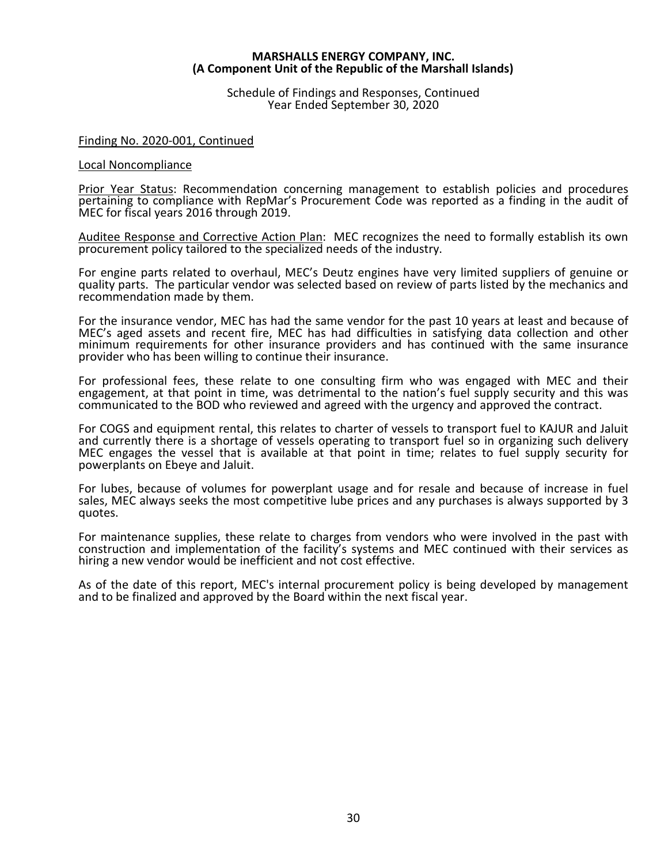Schedule of Findings and Responses, Continued Year Ended September 30, 2020

Finding No. 2020-001, Continued

#### Local Noncompliance

Prior Year Status: Recommendation concerning management to establish policies and procedures pertaining to compliance with RepMar's Procurement Code was reported as a finding in the audit of MEC for fiscal years 2016 through 2019.

Auditee Response and Corrective Action Plan: MEC recognizes the need to formally establish its own procurement policy tailored to the specialized needs of the industry.

For engine parts related to overhaul, MEC's Deutz engines have very limited suppliers of genuine or quality parts. The particular vendor was selected based on review of parts listed by the mechanics and recommendation made by them.

For the insurance vendor, MEC has had the same vendor for the past 10 years at least and because of MEC's aged assets and recent fire, MEC has had difficulties in satisfying data collection and other minimum requirements for other insurance providers and has continued with the same insurance provider who has been willing to continue their insurance.

For professional fees, these relate to one consulting firm who was engaged with MEC and their engagement, at that point in time, was detrimental to the nation's fuel supply security and this was communicated to the BOD who reviewed and agreed with the urgency and approved the contract.

For COGS and equipment rental, this relates to charter of vessels to transport fuel to KAJUR and Jaluit and currently there is a shortage of vessels operating to transport fuel so in organizing such delivery MEC engages the vessel that is available at that point in time; relates to fuel supply security for powerplants on Ebeye and Jaluit.

For lubes, because of volumes for powerplant usage and for resale and because of increase in fuel sales, MEC always seeks the most competitive lube prices and any purchases is always supported by 3 quotes.

For maintenance supplies, these relate to charges from vendors who were involved in the past with construction and implementation of the facility's systems and MEC continued with their services as hiring a new vendor would be inefficient and not cost effective.

As of the date of this report, MEC's internal procurement policy is being developed by management and to be finalized and approved by the Board within the next fiscal year.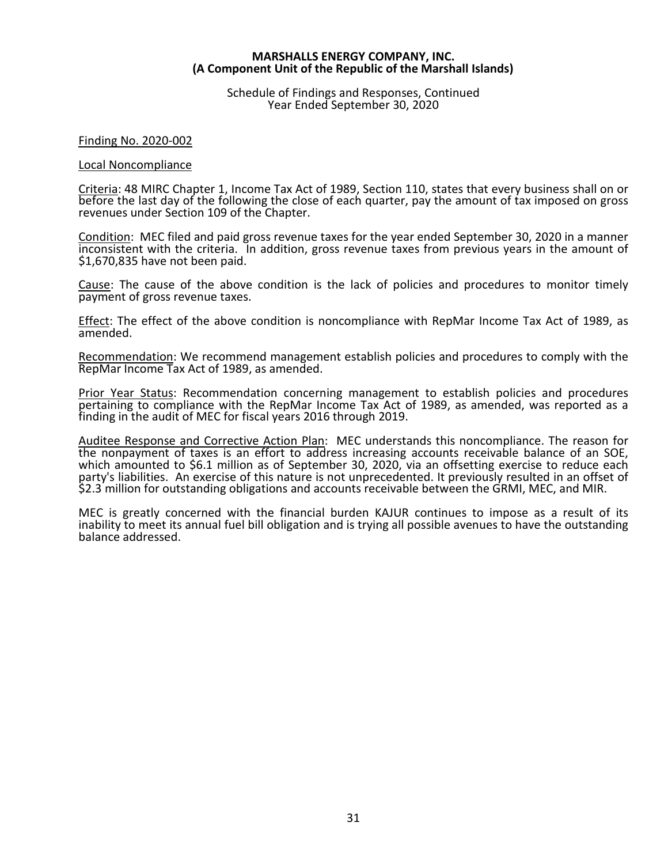Schedule of Findings and Responses, Continued Year Ended September 30, 2020

#### Finding No. 2020-002

#### Local Noncompliance

Criteria: 48 MIRC Chapter 1, Income Tax Act of 1989, Section 110, states that every business shall on or before the last day of the following the close of each quarter, pay the amount of tax imposed on gross revenues under Section 109 of the Chapter.

Condition: MEC filed and paid gross revenue taxes for the year ended September 30, 2020 in a manner inconsistent with the criteria. In addition, gross revenue taxes from previous years in the amount of \$1,670,835 have not been paid.

Cause: The cause of the above condition is the lack of policies and procedures to monitor timely payment of gross revenue taxes.

Effect: The effect of the above condition is noncompliance with RepMar Income Tax Act of 1989, as amended.

Recommendation: We recommend management establish policies and procedures to comply with the RepMar Income Tax Act of 1989, as amended.

Prior Year Status: Recommendation concerning management to establish policies and procedures pertaining to compliance with the RepMar Income Tax Act of 1989, as amended, was reported as a finding in the audit of MEC for fiscal years 2016 through 2019.

Auditee Response and Corrective Action Plan: MEC understands this noncompliance. The reason for the nonpayment of taxes is an effort to address increasing accounts receivable balance of an SOE, which amounted to \$6.1 million as of September 30, 2020, via an offsetting exercise to reduce each party's liabilities. An exercise of this nature is not unprecedented. It previously resulted in an offset of \$2.3 million for outstanding obligations and accounts receivable between the GRMI, MEC, and MIR.

MEC is greatly concerned with the financial burden KAJUR continues to impose as a result of its inability to meet its annual fuel bill obligation and is trying all possible avenues to have the outstanding balance addressed.